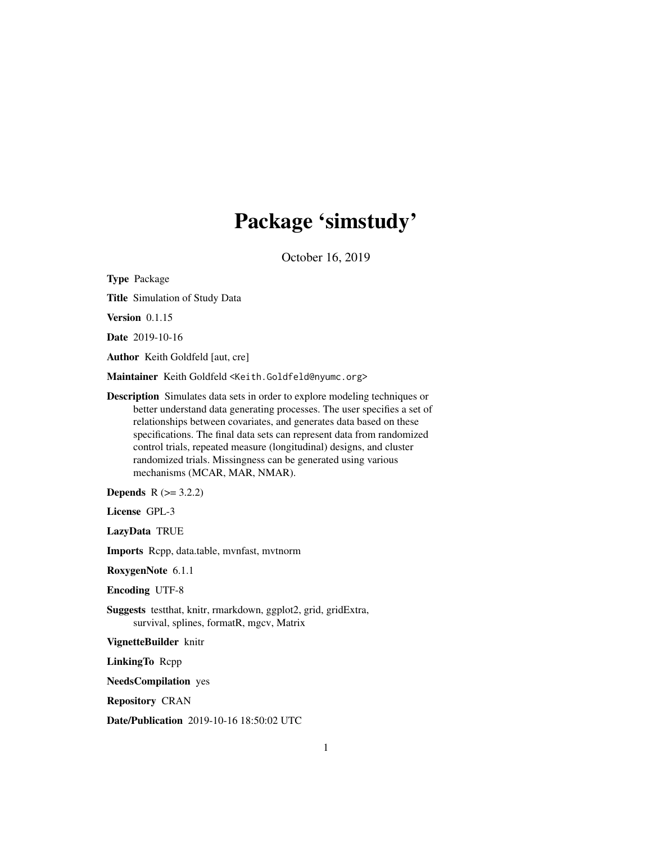# Package 'simstudy'

October 16, 2019

Type Package Title Simulation of Study Data Version 0.1.15 Date 2019-10-16 Author Keith Goldfeld [aut, cre] Maintainer Keith Goldfeld <Keith.Goldfeld@nyumc.org> Description Simulates data sets in order to explore modeling techniques or better understand data generating processes. The user specifies a set of relationships between covariates, and generates data based on these specifications. The final data sets can represent data from randomized control trials, repeated measure (longitudinal) designs, and cluster randomized trials. Missingness can be generated using various mechanisms (MCAR, MAR, NMAR). **Depends**  $R (= 3.2.2)$ 

License GPL-3

LazyData TRUE

Imports Rcpp, data.table, mvnfast, mvtnorm

RoxygenNote 6.1.1

Encoding UTF-8

Suggests testthat, knitr, rmarkdown, ggplot2, grid, gridExtra, survival, splines, formatR, mgcv, Matrix

VignetteBuilder knitr

LinkingTo Rcpp

NeedsCompilation yes

Repository CRAN

Date/Publication 2019-10-16 18:50:02 UTC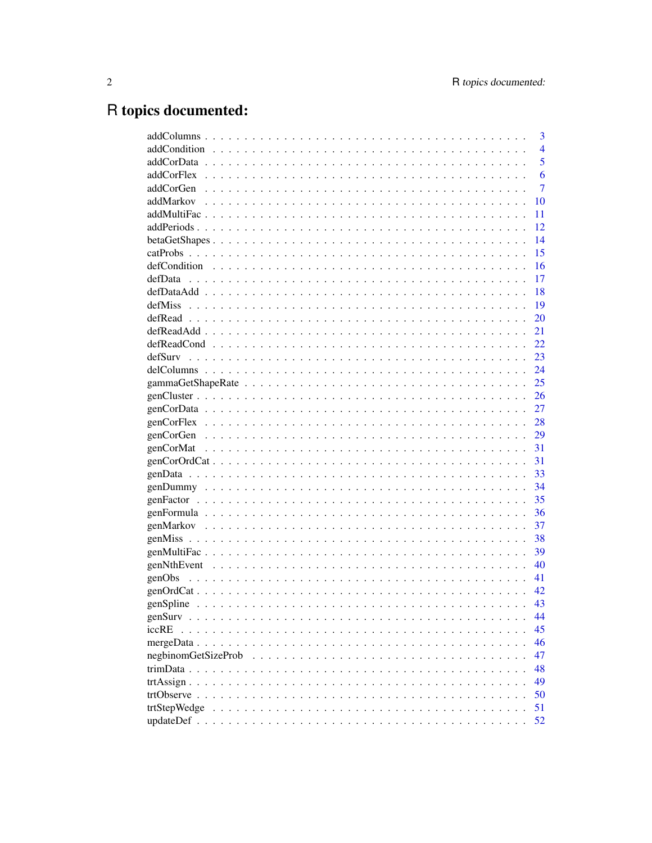# R topics documented:

|                     | 3              |
|---------------------|----------------|
|                     | $\overline{4}$ |
|                     | 5              |
|                     | 6              |
|                     | 7              |
|                     | 10             |
|                     | 11             |
|                     | 12             |
|                     | 14             |
|                     | 15             |
|                     | 16             |
|                     | 17             |
|                     | 18             |
|                     | 19             |
|                     | 20             |
|                     | 21             |
|                     | 22             |
|                     | 23             |
|                     | 24             |
|                     | 25             |
|                     | 26             |
|                     | 27             |
|                     | 28             |
|                     | 29             |
|                     | 31             |
|                     | 31             |
|                     | 33             |
|                     | 34             |
|                     | 35             |
|                     | 36             |
|                     | 37             |
|                     | 38             |
|                     | 39             |
|                     | 40             |
|                     | 41             |
|                     | 42             |
|                     | 43             |
|                     | 44             |
| iccRE               | 45             |
|                     | 46             |
| negbinomGetSizeProb | 47             |
|                     | 48             |
|                     | 49             |
|                     | 50             |
| trtStepWedge        | 51             |
|                     | 52             |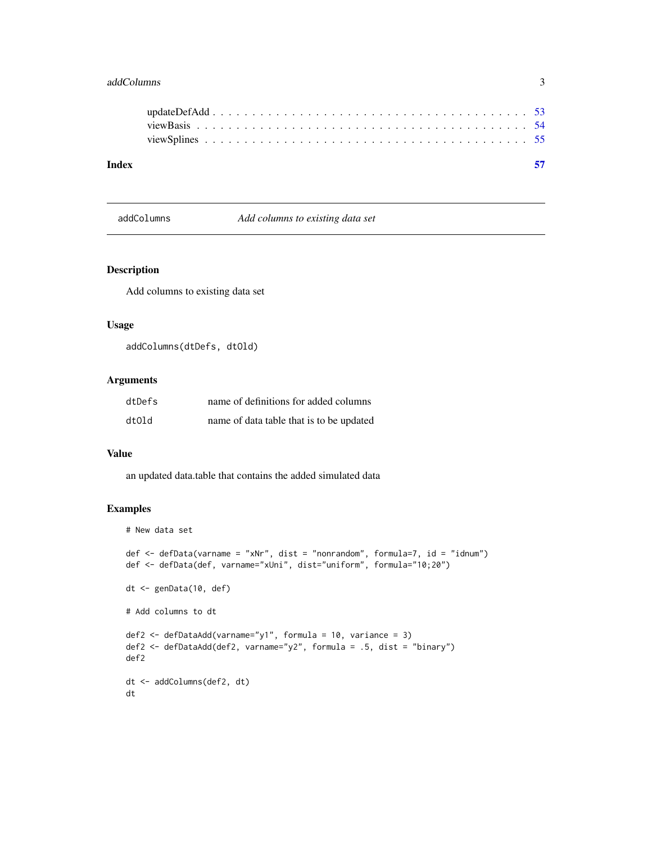# <span id="page-2-0"></span>addColumns 3

| Index |  |  |  |  |  |  |  |  |  |  |  |  |  |  |  |  |  |  |
|-------|--|--|--|--|--|--|--|--|--|--|--|--|--|--|--|--|--|--|
|       |  |  |  |  |  |  |  |  |  |  |  |  |  |  |  |  |  |  |
|       |  |  |  |  |  |  |  |  |  |  |  |  |  |  |  |  |  |  |
|       |  |  |  |  |  |  |  |  |  |  |  |  |  |  |  |  |  |  |
|       |  |  |  |  |  |  |  |  |  |  |  |  |  |  |  |  |  |  |

addColumns *Add columns to existing data set*

## Description

Add columns to existing data set

# Usage

```
addColumns(dtDefs, dtOld)
```
# Arguments

| dtDefs | name of definitions for added columns    |
|--------|------------------------------------------|
| dtOld  | name of data table that is to be updated |

# Value

an updated data.table that contains the added simulated data

```
# New data set
def <- defData(varname = "xNr", dist = "nonrandom", formula=7, id = "idnum")
def <- defData(def, varname="xUni", dist="uniform", formula="10;20")
dt <- genData(10, def)
# Add columns to dt
def2 <- defDataAdd(varname="y1", formula = 10, variance = 3)
def2 <- defDataAdd(def2, varname="y2", formula = .5, dist = "binary")
def2
dt <- addColumns(def2, dt)
dt
```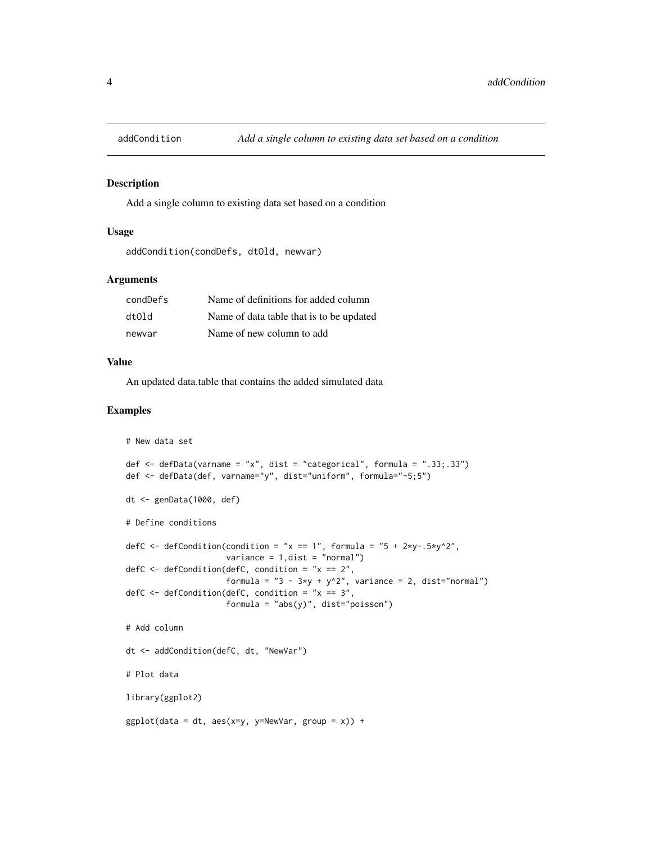<span id="page-3-0"></span>

Add a single column to existing data set based on a condition

## Usage

```
addCondition(condDefs, dtOld, newvar)
```
# Arguments

| condDefs | Name of definitions for added column     |
|----------|------------------------------------------|
| dtOld    | Name of data table that is to be updated |
| newvar   | Name of new column to add                |

#### Value

An updated data.table that contains the added simulated data

```
# New data set
def <- defData(varname = "x", dist = "categorical", formula = ".33;.33")
def <- defData(def, varname="y", dist="uniform", formula="-5;5")
dt <- genData(1000, def)
# Define conditions
defC <- defCondition(condition = "x == 1", formula = "5 + 2*y-.5*y^2",
                     variance = 1,dist = "normal")
defC \leq defCondition(defC, condition = "x == 2",
                     formula = "3 - 3*y + y^2", variance = 2, dist="normal")defC \leq defCondition(defC, condition = "x == 3",
                     formula = "abs(y)", dist="poisson")
# Add column
dt <- addCondition(defC, dt, "NewVar")
# Plot data
library(ggplot2)
ggplot(data = dt, aes(x=y, y=NewVar, group = x)) +
```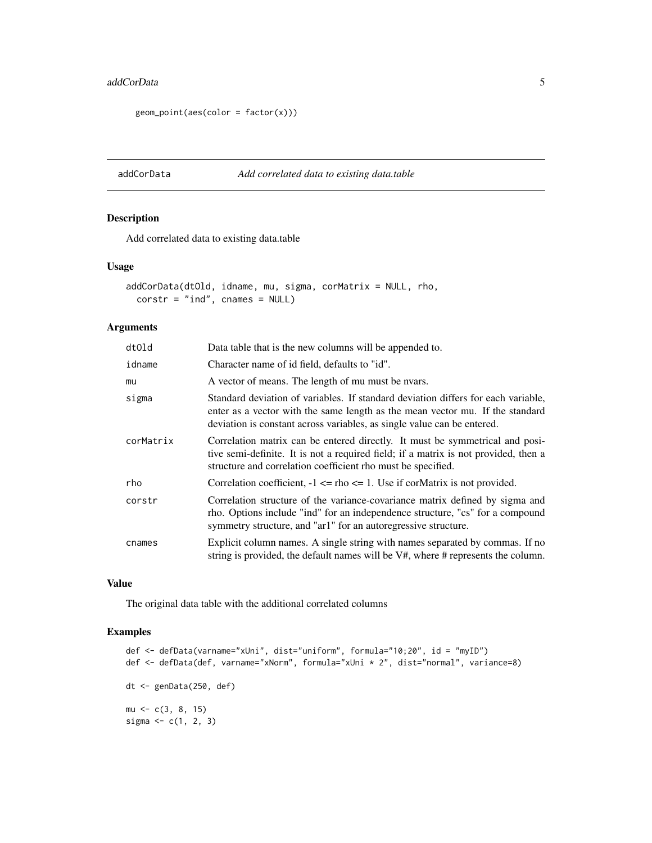#### <span id="page-4-0"></span>addCorData 5

```
geom\_point(aes(color = factor(x)))
```
## addCorData *Add correlated data to existing data.table*

# Description

Add correlated data to existing data.table

#### Usage

```
addCorData(dtOld, idname, mu, sigma, corMatrix = NULL, rho,
  \text{corst} = "ind", \text{ cnames} = \text{NULL}
```
# Arguments

| dtOld     | Data table that is the new columns will be appended to.                                                                                                                                                                                       |
|-----------|-----------------------------------------------------------------------------------------------------------------------------------------------------------------------------------------------------------------------------------------------|
| idname    | Character name of id field, defaults to "id".                                                                                                                                                                                                 |
| mu        | A vector of means. The length of mu must be nyars.                                                                                                                                                                                            |
| sigma     | Standard deviation of variables. If standard deviation differs for each variable,<br>enter as a vector with the same length as the mean vector mu. If the standard<br>deviation is constant across variables, as single value can be entered. |
| corMatrix | Correlation matrix can be entered directly. It must be symmetrical and posi-<br>tive semi-definite. It is not a required field; if a matrix is not provided, then a<br>structure and correlation coefficient rho must be specified.           |
| rho       | Correlation coefficient, $-1 \leq \text{rho} \leq 1$ . Use if corMatrix is not provided.                                                                                                                                                      |
| corstr    | Correlation structure of the variance-covariance matrix defined by sigma and<br>rho. Options include "ind" for an independence structure, "cs" for a compound<br>symmetry structure, and "ar1" for an autoregressive structure.               |
| cnames    | Explicit column names. A single string with names separated by commas. If no<br>string is provided, the default names will be V#, where # represents the column.                                                                              |

# Value

The original data table with the additional correlated columns

```
def <- defData(varname="xUni", dist="uniform", formula="10;20", id = "myID")
def <- defData(def, varname="xNorm", formula="xUni * 2", dist="normal", variance=8)
dt <- genData(250, def)
mu < -c(3, 8, 15)sigma <-c(1, 2, 3)
```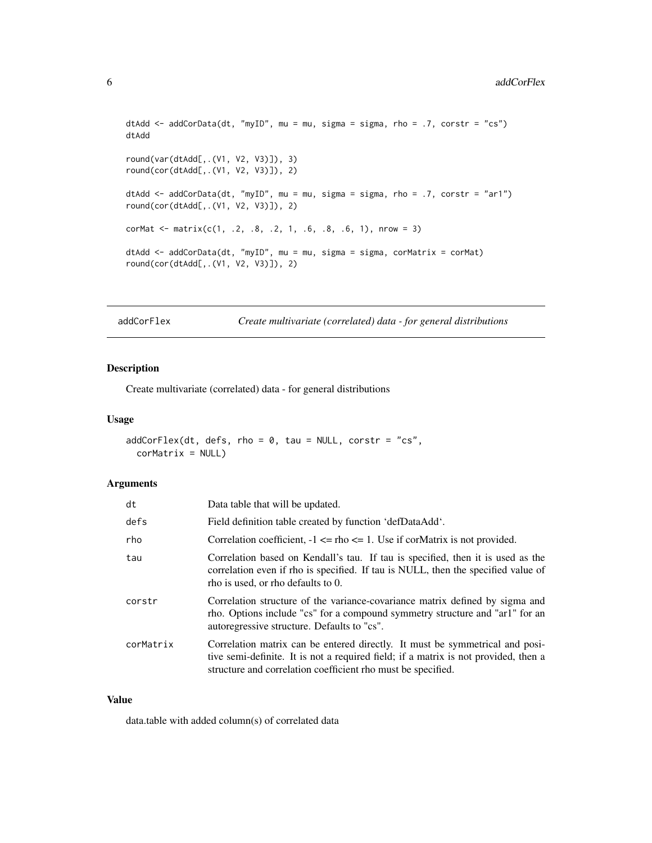```
dtAdd <- addCorData(dt, "myID", mu = mu, sigma = sigma, rho = .7, corstr = "cs")
dtAdd
round(var(dtAdd[,.(V1, V2, V3)]), 3)
round(cor(dtAdd[,.(V1, V2, V3)]), 2)
dtAdd <- addCorData(dt, "myID", mu = mu, sigma = sigma, rho = .7, corstr = "ar1")
round(cor(dtAdd[,.(V1, V2, V3)]), 2)
corMat <- matrix(c(1, .2, .8, .2, 1, .6, .8, .6, 1), nrow = 3)
dtAdd <- addCorData(dt, "myID", mu = mu, sigma = sigma, corMatrix = corMat)
round(cor(dtAdd[,.(V1, V2, V3)]), 2)
```
addCorFlex *Create multivariate (correlated) data - for general distributions*

# Description

Create multivariate (correlated) data - for general distributions

#### Usage

```
addCorFlex(dt, defs, rho = 0, tau = NULL, corstr = "cs",corMatrix = NULL)
```
#### Arguments

| dt        | Data table that will be updated.                                                                                                                                                                                                    |
|-----------|-------------------------------------------------------------------------------------------------------------------------------------------------------------------------------------------------------------------------------------|
| defs      | Field definition table created by function 'defDataAdd'.                                                                                                                                                                            |
| rho       | Correlation coefficient, $-1 \leq$ tho $\leq$ 1. Use if cormatrix is not provided.                                                                                                                                                  |
| tau       | Correlation based on Kendall's tau. If tau is specified, then it is used as the<br>correlation even if rho is specified. If tau is NULL, then the specified value of<br>rho is used, or rho defaults to 0.                          |
| corstr    | Correlation structure of the variance-covariance matrix defined by sigma and<br>rho. Options include "cs" for a compound symmetry structure and "ar1" for an<br>autoregressive structure. Defaults to "cs".                         |
| corMatrix | Correlation matrix can be entered directly. It must be symmetrical and posi-<br>tive semi-definite. It is not a required field; if a matrix is not provided, then a<br>structure and correlation coefficient rho must be specified. |

#### Value

data.table with added column(s) of correlated data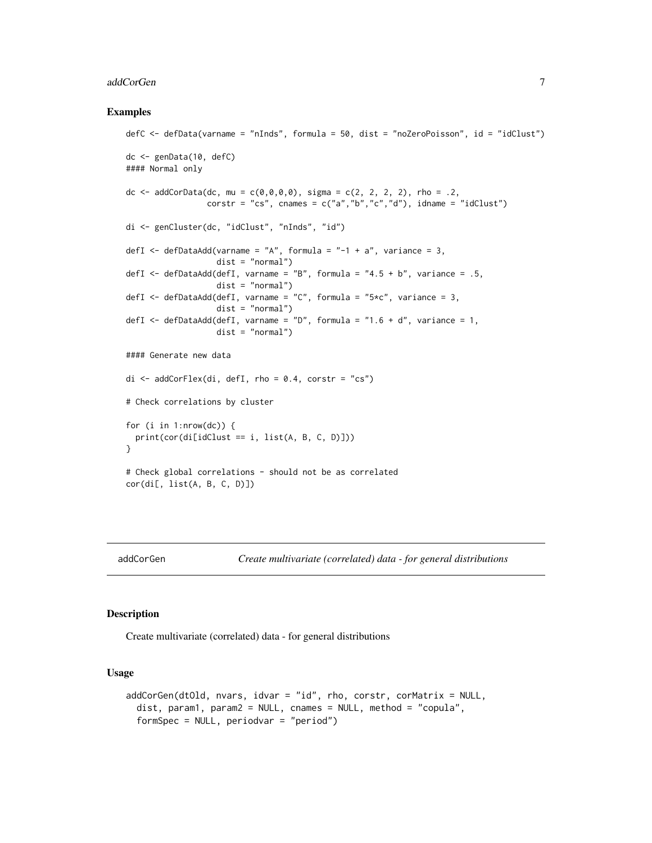#### <span id="page-6-0"></span>addCorGen 7

#### Examples

```
defC <- defData(varname = "nInds", formula = 50, dist = "noZeroPoisson", id = "idClust")
dc <- genData(10, defC)
#### Normal only
dc <- addCorData(dc, mu = c(0,0,0,0), sigma = c(2, 2, 2, 2), rho = .2,
                 corstr = "cs", cnames = c("a", "b", "c", "d"), idname = "idClust")
di <- genCluster(dc, "idClust", "nInds", "id")
defI \leq defDataAdd(varname = "A", formula = "-1 + a", variance = 3,
                   dist = "normal")defI \le defDataAdd(defI, varname = "B", formula = "4.5 + b", variance = .5,
                   dist = "normal")
defI \leq defDataAdd(defI, varname = "C", formula = "5*c", variance = 3,
                   dist = "normal")
defI \leq defDataAdd(defI, varname = "D", formula = "1.6 + d", variance = 1,
                   dist = "normal")#### Generate new data
di \leq addCorFlex(di, defI, rho = 0.4, corstr = "cs")
# Check correlations by cluster
for (i in 1:nrow(dc)) {
  print(cor(di[idClust == i, list(A, B, C, D)]))
}
# Check global correlations - should not be as correlated
cor(di[, list(A, B, C, D)])
```
addCorGen *Create multivariate (correlated) data - for general distributions*

# Description

Create multivariate (correlated) data - for general distributions

#### Usage

```
addCorGen(dtOld, nvars, idvar = "id", rho, corstr, corMatrix = NULL,
  dist, param1, param2 = NULL, cnames = NULL, method = "copula",
 formSpec = NULL, periodvar = "period")
```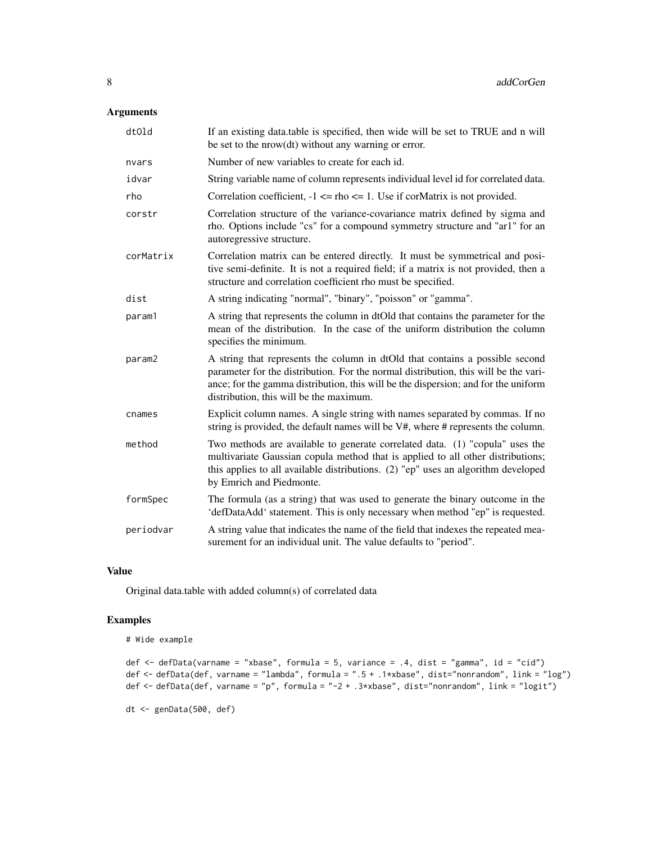# Arguments

| dtOld     | If an existing data table is specified, then wide will be set to TRUE and n will<br>be set to the nrow(dt) without any warning or error.                                                                                                                                                             |
|-----------|------------------------------------------------------------------------------------------------------------------------------------------------------------------------------------------------------------------------------------------------------------------------------------------------------|
| nvars     | Number of new variables to create for each id.                                                                                                                                                                                                                                                       |
| idvar     | String variable name of column represents individual level id for correlated data.                                                                                                                                                                                                                   |
| rho       | Correlation coefficient, $-1 \leq \text{rho} \leq 1$ . Use if cormatrix is not provided.                                                                                                                                                                                                             |
| corstr    | Correlation structure of the variance-covariance matrix defined by sigma and<br>rho. Options include "cs" for a compound symmetry structure and "ar1" for an<br>autoregressive structure.                                                                                                            |
| corMatrix | Correlation matrix can be entered directly. It must be symmetrical and posi-<br>tive semi-definite. It is not a required field; if a matrix is not provided, then a<br>structure and correlation coefficient rho must be specified.                                                                  |
| dist      | A string indicating "normal", "binary", "poisson" or "gamma".                                                                                                                                                                                                                                        |
| param1    | A string that represents the column in dtOld that contains the parameter for the<br>mean of the distribution. In the case of the uniform distribution the column<br>specifies the minimum.                                                                                                           |
| param2    | A string that represents the column in dtOld that contains a possible second<br>parameter for the distribution. For the normal distribution, this will be the vari-<br>ance; for the gamma distribution, this will be the dispersion; and for the uniform<br>distribution, this will be the maximum. |
| cnames    | Explicit column names. A single string with names separated by commas. If no<br>string is provided, the default names will be V#, where # represents the column.                                                                                                                                     |
| method    | Two methods are available to generate correlated data. (1) "copula" uses the<br>multivariate Gaussian copula method that is applied to all other distributions;<br>this applies to all available distributions. (2) "ep" uses an algorithm developed<br>by Emrich and Piedmonte.                     |
| formSpec  | The formula (as a string) that was used to generate the binary outcome in the<br>'defDataAdd' statement. This is only necessary when method "ep" is requested.                                                                                                                                       |
| periodvar | A string value that indicates the name of the field that indexes the repeated mea-<br>surement for an individual unit. The value defaults to "period".                                                                                                                                               |

## Value

Original data.table with added column(s) of correlated data

# Examples

```
# Wide example
```

```
def <- defData(varname = "xbase", formula = 5, variance = .4, dist = "gamma", id = "cid")
def <- defData(def, varname = "lambda", formula = ".5 + .1*xbase", dist="nonrandom", link = "log")
def <- defData(def, varname = "p", formula = "-2 + .3*xbase", dist="nonrandom", link = "logit")
```
dt <- genData(500, def)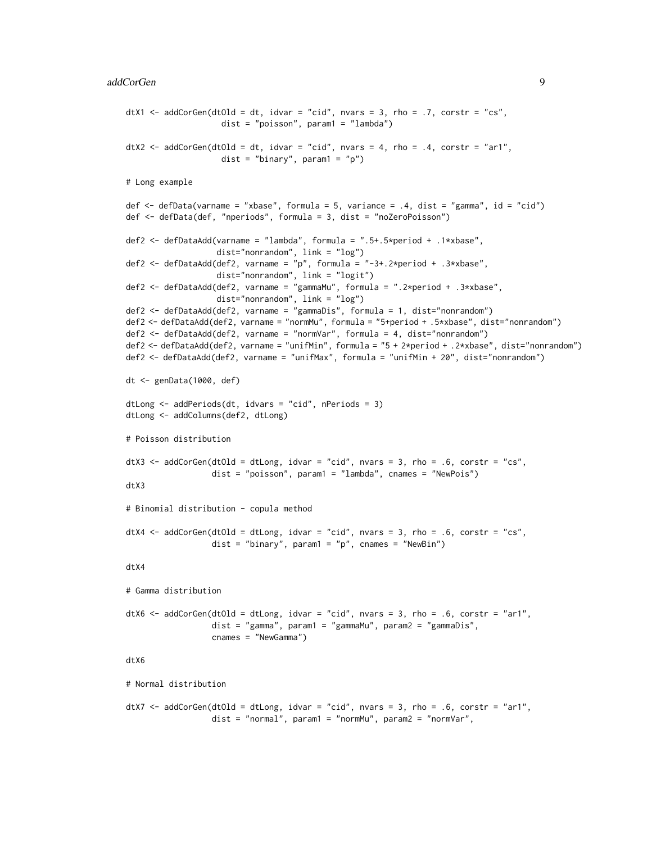```
dtX1 <- addCorGen(dtOld = dt, idvar = "cid", nvars = 3, rho = .7, corstr = "cs",
                    dist = "poisson", param1 = "lambda")
dtX2 <- addCorGen(dtOld = dt, idvar = "cid", nvars = 4, rho = .4, corstr = "ar1",
                    dist = "binary", param1 = "p")# Long example
def <- defData(varname = "xbase", formula = 5, variance = .4, dist = "gamma", id = "cid")
def <- defData(def, "nperiods", formula = 3, dist = "noZeroPoisson")
def2 <- defDataAdd(varname = "lambda", formula = ".5+.5*period + .1*xbase",
                   dist="nonrandom", link = "log")
def2 <- defDataAdd(def2, varname = "p", formula = "-3+.2*period + .3*xbase",
                   dist="nonrandom", link = "logit")
def2 <- defDataAdd(def2, varname = "gammaMu", formula = ".2*period + .3*xbase",
                   dist="nonrandom", link = "log")
def2 <- defDataAdd(def2, varname = "gammaDis", formula = 1, dist="nonrandom")
def2 <- defDataAdd(def2, varname = "normMu", formula = "5+period + .5*xbase", dist="nonrandom")
def2 <- defDataAdd(def2, varname = "normVar", formula = 4, dist="nonrandom")
def2 <- defDataAdd(def2, varname = "unifMin", formula = "5 + 2*period + .2*xbase", dist="nonrandom")
def2 <- defDataAdd(def2, varname = "unifMax", formula = "unifMin + 20", dist="nonrandom")
dt <- genData(1000, def)
dtLong <- addPeriods(dt, idvars = "cid", nPeriods = 3)
dtLong <- addColumns(def2, dtLong)
# Poisson distribution
dtX3 <- addCorGen(dtOld = dtLong, idvar = "cid", nvars = 3, rho = .6, corstr = "cs",
                  dist = "poisson", param1 = "lambda", cnames = "NewPois")
dtX3
# Binomial distribution - copula method
dtX4 <- addCorGen(dtOld = dtLong, idvar = "cid", nvars = 3, rho = .6, corstr = "cs",
                  dist = "binary", param1 = "p", cameras = "NewBin")dtX4
# Gamma distribution
dtX6 <- addCorGen(dtOld = dtLong, idvar = "cid", nvars = 3, rho = .6, corstr = "ar1",
                  dist = "gamma", param1 = "gammaMu", param2 = "gammaDis",
                  cnames = "NewGamma")
dtX6
# Normal distribution
dtX7 <- addCorGen(dtOld = dtLong, idvar = "cid", nvars = 3, rho = .6, corstr = "ar1",
                  dist = "normal", param1 = "normMu", param2 = "normVar",
```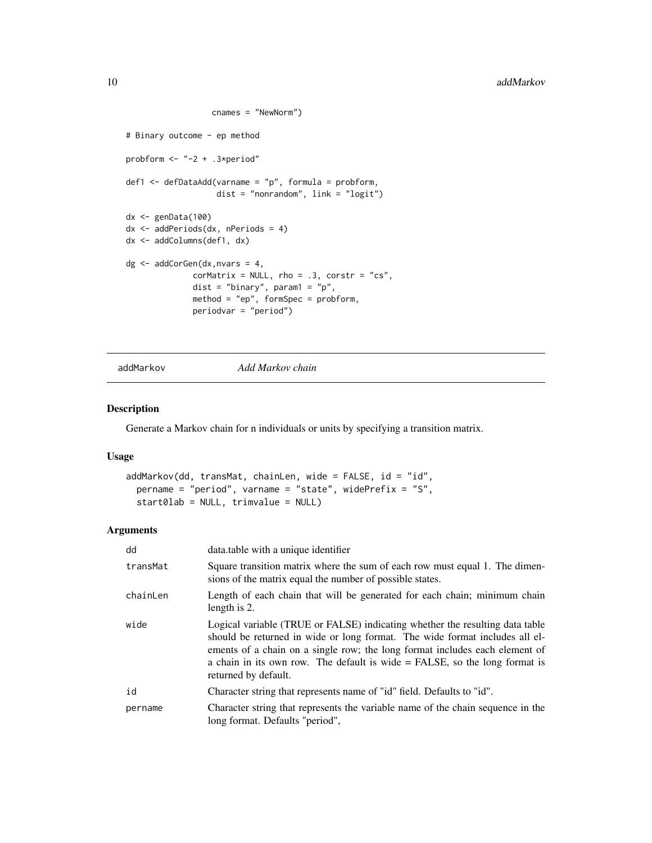```
cnames = "NewNorm")
# Binary outcome - ep method
probform <- "-2 + .3*period"
def1 <- defDataAdd(varname = "p", formula = probform,
                   dist = "nonrandom", link = "logit")
dx <- genData(100)
dx <- addPeriods(dx, nPeriods = 4)
dx <- addColumns(def1, dx)
dg \leq - \text{addCorGen}(dx, nvars = 4,corMatrix = NULL, rho = .3, corstr = "cs",dist = "binary", param1 = "p",
              method = "ep", formSpec = probform,
              periodvar = "period")
```
addMarkov *Add Markov chain*

# Description

Generate a Markov chain for n individuals or units by specifying a transition matrix.

## Usage

```
addMarkov(dd, transMat, chainLen, wide = FALSE, id = "id",
 pername = "period", varname = "state", widePrefix = "S",
  start0lab = NULL, trimvalue = NULL)
```
#### Arguments

| dd       | data.table with a unique identifier                                                                                                                                                                                                                                                                                                                |
|----------|----------------------------------------------------------------------------------------------------------------------------------------------------------------------------------------------------------------------------------------------------------------------------------------------------------------------------------------------------|
| transMat | Square transition matrix where the sum of each row must equal 1. The dimen-<br>sions of the matrix equal the number of possible states.                                                                                                                                                                                                            |
| chainLen | Length of each chain that will be generated for each chain; minimum chain<br>length is 2.                                                                                                                                                                                                                                                          |
| wide     | Logical variable (TRUE or FALSE) indicating whether the resulting data table<br>should be returned in wide or long format. The wide format includes all el-<br>ements of a chain on a single row; the long format includes each element of<br>a chain in its own row. The default is wide $=$ FALSE, so the long format is<br>returned by default. |
| id       | Character string that represents name of "id" field. Defaults to "id".                                                                                                                                                                                                                                                                             |
| pername  | Character string that represents the variable name of the chain sequence in the<br>long format. Defaults "period",                                                                                                                                                                                                                                 |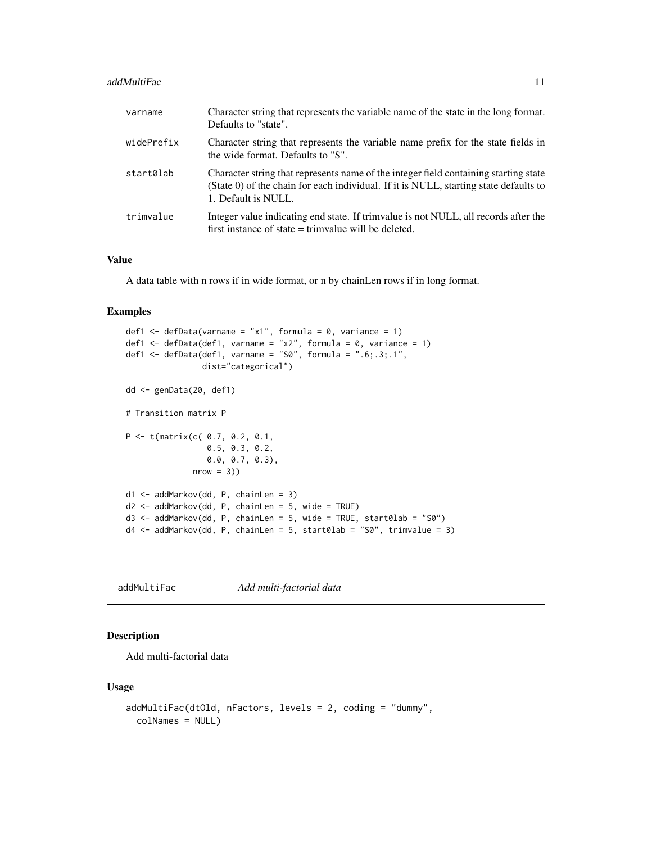#### <span id="page-10-0"></span>addMultiFac 11

| varname    | Character string that represents the variable name of the state in the long format.<br>Defaults to "state".                                                                                          |
|------------|------------------------------------------------------------------------------------------------------------------------------------------------------------------------------------------------------|
| widePrefix | Character string that represents the variable name prefix for the state fields in<br>the wide format. Defaults to "S".                                                                               |
| start0lab  | Character string that represents name of the integer field containing starting state<br>(State 0) of the chain for each individual. If it is NULL, starting state defaults to<br>1. Default is NULL. |
| trimvalue  | Integer value indicating end state. If trimvalue is not NULL, all records after the<br>first instance of state $=$ trimvalue will be deleted.                                                        |

## Value

A data table with n rows if in wide format, or n by chainLen rows if in long format.

## Examples

```
def1 \le defData(varname = "x1", formula = 0, variance = 1)
def1 <- defData(def1, varname = "x2", formula = 0, variance = 1)
def1 \leq defData(def1, varname = "S0", formula = ".6;.3;.1",
                dist="categorical")
dd <- genData(20, def1)
# Transition matrix P
P <- t(matrix(c( 0.7, 0.2, 0.1,
                 0.5, 0.3, 0.2,
                 0.0, 0.7, 0.3),
              nrow = 3)d1 <- addMarkov(dd, P, chainLen = 3)
d2 <- addMarkov(dd, P, chainLen = 5, wide = TRUE)
d3 <- addMarkov(dd, P, chainLen = 5, wide = TRUE, start0lab = "S0")
d4 <- addMarkov(dd, P, chainLen = 5, start0lab = "S0", trimvalue = 3)
```
addMultiFac *Add multi-factorial data*

# Description

Add multi-factorial data

#### Usage

```
addMultiFac(dtOld, nFactors, levels = 2, coding = "dummy",
  colNames = NULL)
```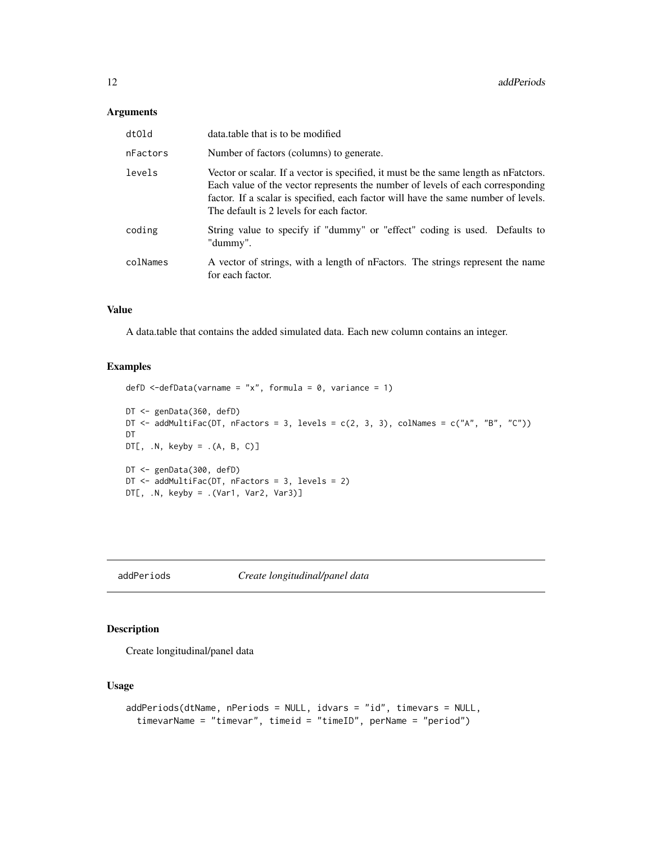#### <span id="page-11-0"></span>Arguments

| dtOld    | data.table that is to be modified                                                                                                                                                                                                                                                                        |
|----------|----------------------------------------------------------------------------------------------------------------------------------------------------------------------------------------------------------------------------------------------------------------------------------------------------------|
| nFactors | Number of factors (columns) to generate.                                                                                                                                                                                                                                                                 |
| levels   | Vector or scalar. If a vector is specified, it must be the same length as nFatctors.<br>Each value of the vector represents the number of levels of each corresponding<br>factor. If a scalar is specified, each factor will have the same number of levels.<br>The default is 2 levels for each factor. |
| coding   | String value to specify if "dummy" or "effect" coding is used. Defaults to<br>"dummy".                                                                                                                                                                                                                   |
| colNames | A vector of strings, with a length of nFactors. The strings represent the name<br>for each factor.                                                                                                                                                                                                       |

# Value

A data.table that contains the added simulated data. Each new column contains an integer.

# Examples

```
defD \leq-defData(varname = "x", formula = 0, variance = 1)
DT <- genData(360, defD)
DT \le - addMultiFac(DT, nFactors = 3, levels = c(2, 3, 3), colNames = c("A", "B", "C"))
DT
DT[, .N, keyby = .(A, B, C)]DT <- genData(300, defD)
DT <- addMultiFac(DT, nFactors = 3, levels = 2)
DT[, .N, keyby = .(Var1, Var2, Var3)]
```
addPeriods *Create longitudinal/panel data*

# Description

Create longitudinal/panel data

# Usage

```
addPeriods(dtName, nPeriods = NULL, idvars = "id", timevars = NULL,
  timevarName = "timevar", timeid = "timeID", perName = "period")
```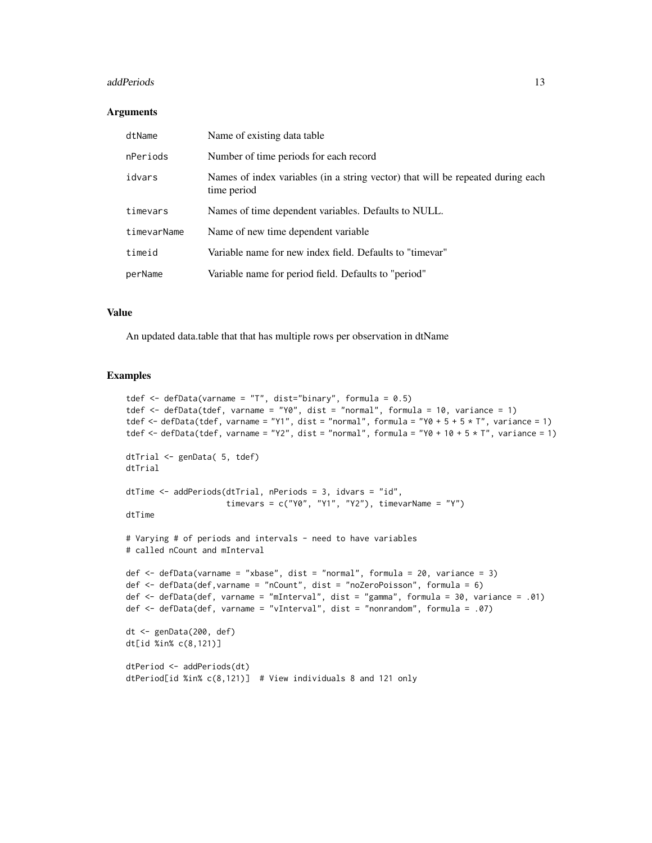#### addPeriods and 13

#### Arguments

| dtName      | Name of existing data table                                                                    |
|-------------|------------------------------------------------------------------------------------------------|
| nPeriods    | Number of time periods for each record                                                         |
| idvars      | Names of index variables (in a string vector) that will be repeated during each<br>time period |
| timevars    | Names of time dependent variables. Defaults to NULL.                                           |
| timevarName | Name of new time dependent variable                                                            |
| timeid      | Variable name for new index field. Defaults to "timevar"                                       |
| perName     | Variable name for period field. Defaults to "period"                                           |

## Value

An updated data.table that that has multiple rows per observation in dtName

```
tdef \leq defData(varname = "T", dist="binary", formula = 0.5)
tdef <- defData(tdef, varname = "Y0", dist = "normal", formula = 10, variance = 1)
tdef <- defData(tdef, varname = "Y1", dist = "normal", formula = "Y0 + 5 + 5 * T", variance = 1)
tdef <- defData(tdef, varname = "Y2", dist = "normal", formula = "Y0 + 10 + 5 \star T", variance = 1)
dtTrial <- genData( 5, tdef)
dtTrial
dtTime <- addPeriods(dtTrial, nPeriods = 3, idvars = "id",
                     timevars = c("Y0", "Y1", "Y2"), timevarName = "Y")
dtTime
# Varying # of periods and intervals - need to have variables
# called nCount and mInterval
def <- defData(varname = "xbase", dist = "normal", formula = 20, variance = 3)
def <- defData(def,varname = "nCount", dist = "noZeroPoisson", formula = 6)
def <- defData(def, varname = "mInterval", dist = "gamma", formula = 30, variance = .01)
def <- defData(def, varname = "vInterval", dist = "nonrandom", formula = .07)
dt <- genData(200, def)
dt[id %in% c(8,121)]
dtPeriod <- addPeriods(dt)
dtPeriod[id %in% c(8,121)] # View individuals 8 and 121 only
```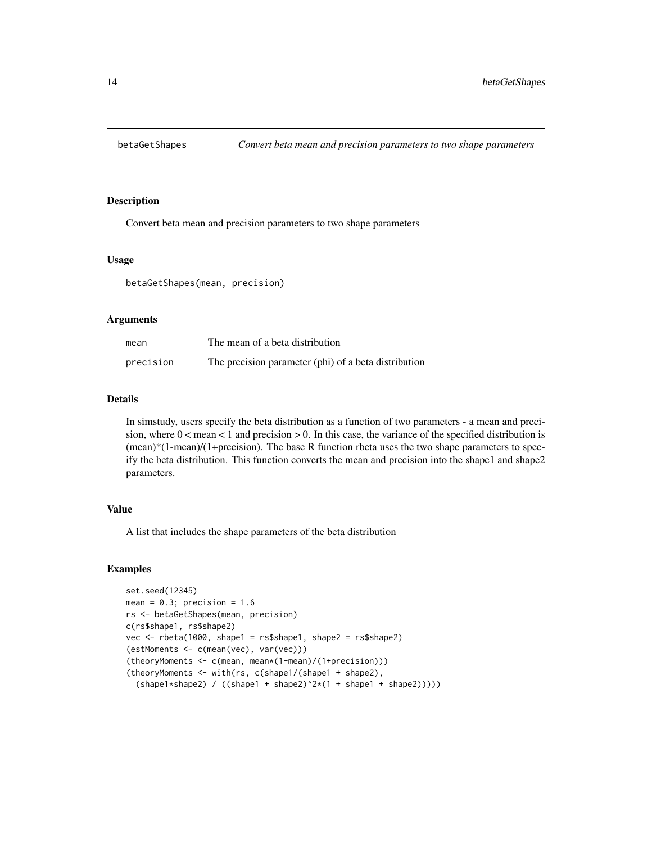<span id="page-13-0"></span>

Convert beta mean and precision parameters to two shape parameters

#### Usage

betaGetShapes(mean, precision)

#### Arguments

| mean      | The mean of a beta distribution                      |
|-----------|------------------------------------------------------|
| precision | The precision parameter (phi) of a beta distribution |

#### Details

In simstudy, users specify the beta distribution as a function of two parameters - a mean and precision, where  $0 <$  mean  $< 1$  and precision  $> 0$ . In this case, the variance of the specified distribution is  $(mean)*(1-mean)/(1+precision)$ . The base R function rbeta uses the two shape parameters to specify the beta distribution. This function converts the mean and precision into the shape1 and shape2 parameters.

## Value

A list that includes the shape parameters of the beta distribution

```
set.seed(12345)
mean = 0.3; precision = 1.6
rs <- betaGetShapes(mean, precision)
c(rs$shape1, rs$shape2)
vec <- rbeta(1000, shape1 = rs$shape1, shape2 = rs$shape2)
(estMoments <- c(mean(vec), var(vec)))
(theoryMoments <- c(mean, mean*(1-mean)/(1+precision)))
(theoryMoments <- with(rs, c(shape1/(shape1 + shape2),
  (shape1*shape2) / ((shape1 + shape2)^2*(1 + shape1 + shape2)))))
```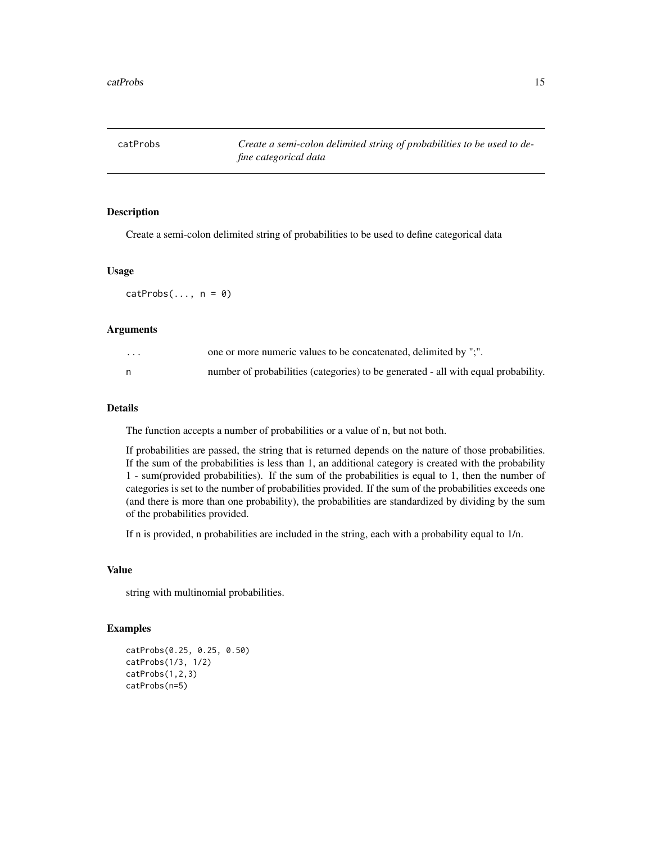<span id="page-14-0"></span>catProbs *Create a semi-colon delimited string of probabilities to be used to define categorical data*

# Description

Create a semi-colon delimited string of probabilities to be used to define categorical data

#### Usage

 $catProbs(..., n = 0)$ 

# Arguments

| $\cdot$ | one or more numeric values to be concatenated, delimited by ";".                   |
|---------|------------------------------------------------------------------------------------|
|         | number of probabilities (categories) to be generated - all with equal probability. |

## Details

The function accepts a number of probabilities or a value of n, but not both.

If probabilities are passed, the string that is returned depends on the nature of those probabilities. If the sum of the probabilities is less than 1, an additional category is created with the probability 1 - sum(provided probabilities). If the sum of the probabilities is equal to 1, then the number of categories is set to the number of probabilities provided. If the sum of the probabilities exceeds one (and there is more than one probability), the probabilities are standardized by dividing by the sum of the probabilities provided.

If n is provided, n probabilities are included in the string, each with a probability equal to 1/n.

## Value

string with multinomial probabilities.

```
catProbs(0.25, 0.25, 0.50)
catProbs(1/3, 1/2)
catProbs(1,2,3)
catProbs(n=5)
```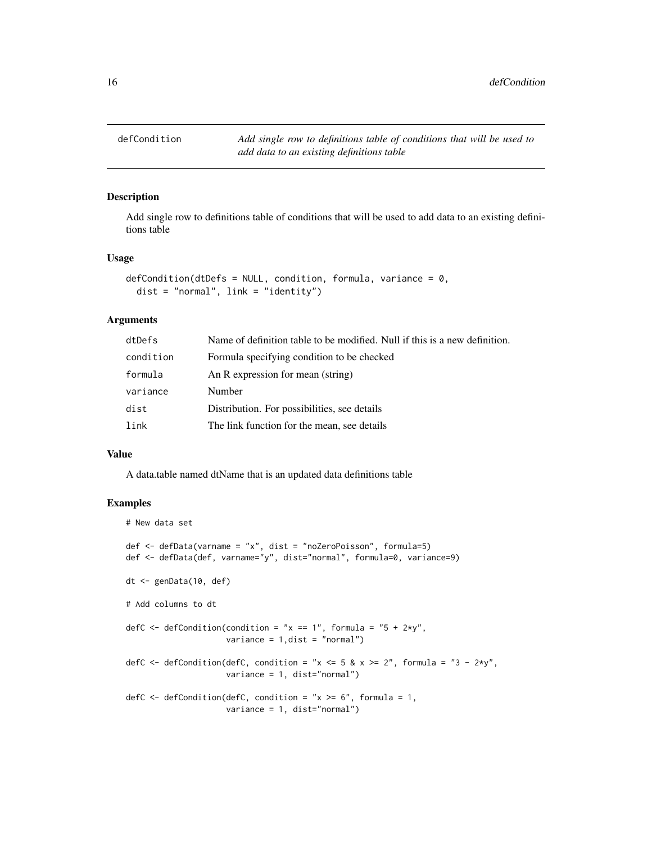<span id="page-15-0"></span>defCondition *Add single row to definitions table of conditions that will be used to add data to an existing definitions table*

## Description

Add single row to definitions table of conditions that will be used to add data to an existing definitions table

#### Usage

```
defCondition(dtDefs = NULL, condition, formula, variance = 0,
  dist = "normal", link = "identity")
```
#### Arguments

| dtDefs    | Name of definition table to be modified. Null if this is a new definition. |
|-----------|----------------------------------------------------------------------------|
| condition | Formula specifying condition to be checked                                 |
| formula   | An R expression for mean (string)                                          |
| variance  | Number                                                                     |
| dist      | Distribution. For possibilities, see details                               |
| link      | The link function for the mean, see details                                |
|           |                                                                            |

#### Value

A data.table named dtName that is an updated data definitions table

```
# New data set
def <- defData(varname = "x", dist = "noZeroPoisson", formula=5)
def <- defData(def, varname="y", dist="normal", formula=0, variance=9)
dt <- genData(10, def)
# Add columns to dt
defC \leq defCondition(condition = "x == 1", formula = "5 + 2*y",
                     variance = 1, dist = "normal")
defC \leq defCondition(defC, condition = "x \leq 5 & x >= 2", formula = "3 - 2*y",
                     variance = 1, dist="normal")
defC \leq defCondition(defC, condition = "x \geq 6", formula = 1,
                     variance = 1, dist="normal")
```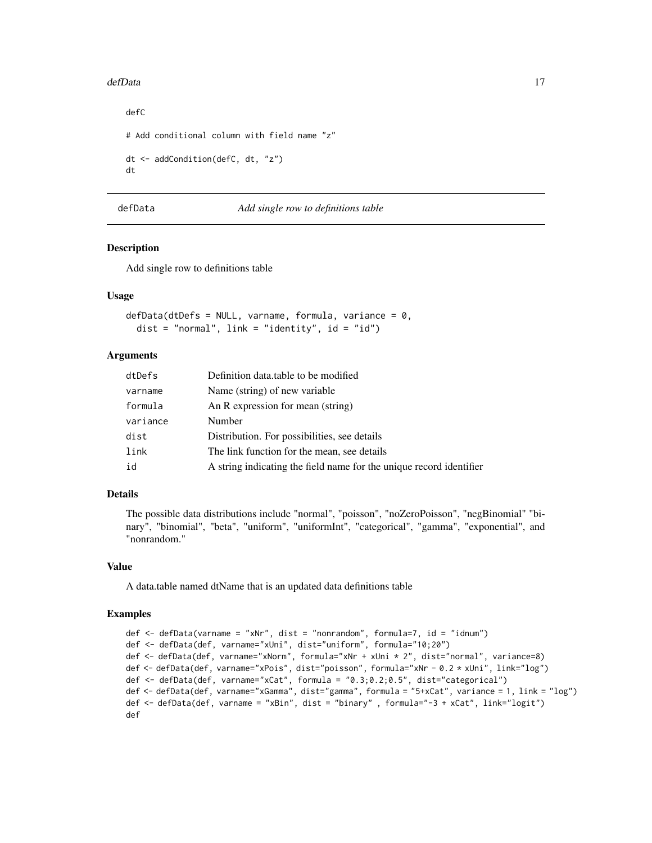#### <span id="page-16-0"></span>defData and the contract of the contract of the contract of the contract of the contract of the contract of the contract of the contract of the contract of the contract of the contract of the contract of the contract of th

```
defC
# Add conditional column with field name "z"
dt <- addCondition(defC, dt, "z")
dt
```
# defData *Add single row to definitions table*

## Description

Add single row to definitions table

# Usage

 $defData(dtDefs = NULL, varname, formula, variance = 0,$ dist = "normal", link = "identity", id = "id")

# Arguments

| dtDefs   | Definition data table to be modified                                |
|----------|---------------------------------------------------------------------|
| varname  | Name (string) of new variable                                       |
| formula  | An R expression for mean (string)                                   |
| variance | Number                                                              |
| dist     | Distribution. For possibilities, see details                        |
| link     | The link function for the mean, see details                         |
| id       | A string indicating the field name for the unique record identifier |

## Details

The possible data distributions include "normal", "poisson", "noZeroPoisson", "negBinomial" "binary", "binomial", "beta", "uniform", "uniformInt", "categorical", "gamma", "exponential", and "nonrandom."

#### Value

A data.table named dtName that is an updated data definitions table

```
def <- defData(varname = "xNr", dist = "nonrandom", formula=7, id = "idnum")
def <- defData(def, varname="xUni", dist="uniform", formula="10;20")
def <- defData(def, varname="xNorm", formula="xNr + xUni * 2", dist="normal", variance=8)
def <- defData(def, varname="xPois", dist="poisson", formula="xNr - 0.2 * xUni", link="log")
def <- defData(def, varname="xCat", formula = "0.3;0.2;0.5", dist="categorical")
def <- defData(def, varname="xGamma", dist="gamma", formula = "5+xCat", variance = 1, link = "log")
def <- defData(def, varname = "xBin", dist = "binary" , formula="-3 + xCat", link="logit")
def
```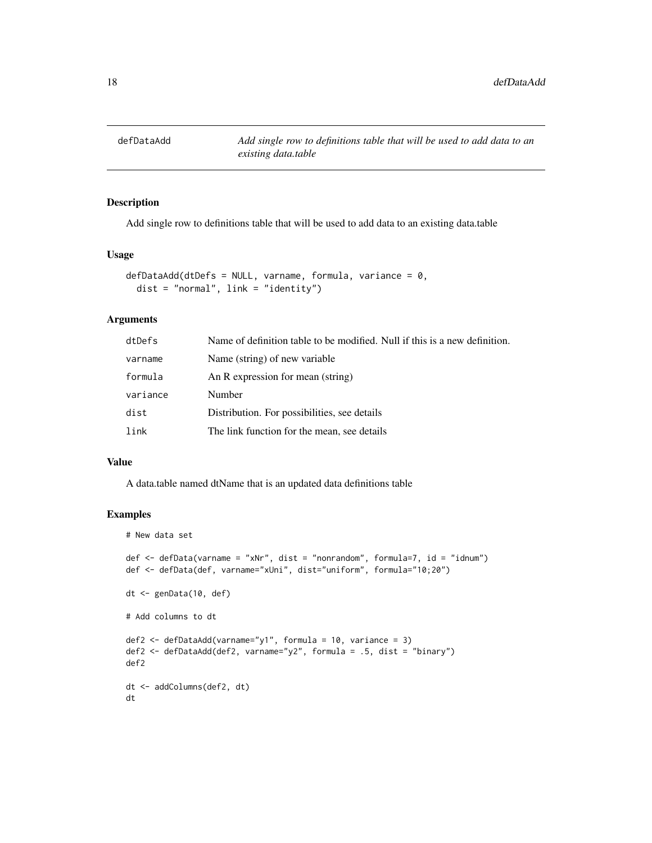<span id="page-17-0"></span>

Add single row to definitions table that will be used to add data to an existing data.table

#### Usage

```
defDataAdd(dtDefs = NULL, varname, formula, variance = 0,dist = "normal", link = "identity")
```
# Arguments

| dtDefs   | Name of definition table to be modified. Null if this is a new definition. |
|----------|----------------------------------------------------------------------------|
| varname  | Name (string) of new variable                                              |
| formula  | An R expression for mean (string)                                          |
| variance | Number                                                                     |
| dist     | Distribution. For possibilities, see details                               |
| link     | The link function for the mean, see details                                |

## Value

A data.table named dtName that is an updated data definitions table

```
# New data set
def <- defData(varname = "xNr", dist = "nonrandom", formula=7, id = "idnum")
def <- defData(def, varname="xUni", dist="uniform", formula="10;20")
dt <- genData(10, def)
# Add columns to dt
def2 \leq defDataAdd(varname="y1", formula = 10, variance = 3)
def2 <- defDataAdd(def2, varname="y2", formula = .5, dist = "binary")
def2
dt <- addColumns(def2, dt)
dt
```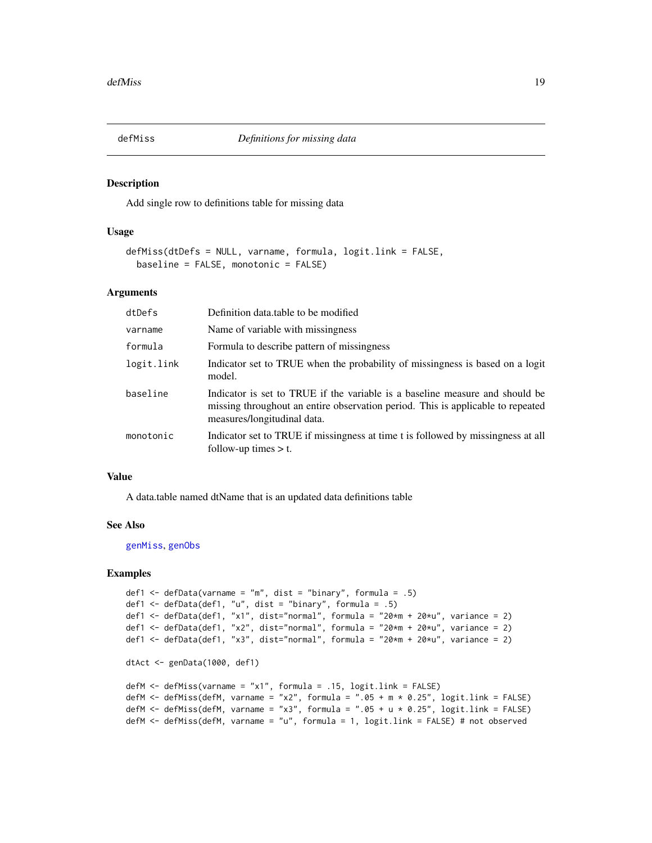<span id="page-18-1"></span><span id="page-18-0"></span>

Add single row to definitions table for missing data

#### Usage

```
defMiss(dtDefs = NULL, varname, formula, logit.link = FALSE,
 baseline = FALSE, monotonic = FALSE)
```
# Arguments

| dtDefs     | Definition data table to be modified                                                                                                                                                           |
|------------|------------------------------------------------------------------------------------------------------------------------------------------------------------------------------------------------|
| varname    | Name of variable with missingness                                                                                                                                                              |
| formula    | Formula to describe pattern of missingness                                                                                                                                                     |
| logit.link | Indicator set to TRUE when the probability of missingness is based on a logit<br>model.                                                                                                        |
| baseline   | Indicator is set to TRUE if the variable is a baseline measure and should be<br>missing throughout an entire observation period. This is applicable to repeated<br>measures/longitudinal data. |
| monotonic  | Indicator set to TRUE if missingness at time t is followed by missingness at all<br>follow-up times $> t$ .                                                                                    |

#### Value

A data.table named dtName that is an updated data definitions table

#### See Also

[genMiss](#page-37-1), [genObs](#page-40-1)

```
def1 \leq defData(varname = "m", dist = "binary", formula = .5)
def1 <- defData(def1, "u", dist = "binary", formula = .5)
def1 <- defData(def1, "x1", dist="normal", formula = "20*m + 20*u", variance = 2)
def1 <- defData(def1, "x2", dist="normal", formula = "20*m + 20*u", variance = 2)
def1 <- defData(def1, "x3", dist="normal", formula = "20*m + 20*u", variance = 2)
dtAct <- genData(1000, def1)
defM <- defMiss(varname = "x1", formula = .15, logit.link = FALSE)
defM <- defMiss(defM, varname = "x2", formula = ".05 + m * 0.25", logit.link = FALSE)
defM <- defMiss(defM, varname = "x3", formula = ".05 + u * 0.25", logit.link = FALSE)
defM <- defMiss(defM, varname = "u", formula = 1, logit.link = FALSE) # not observed
```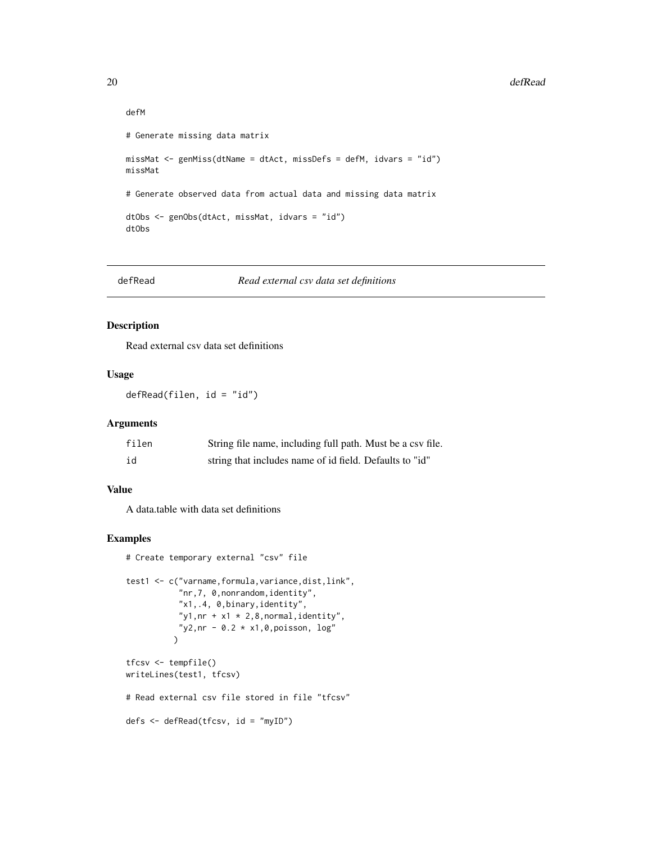```
defM
# Generate missing data matrix
missMat <- genMiss(dtName = dtAct, missDefs = defM, idvars = "id")
missMat
# Generate observed data from actual data and missing data matrix
dtObs <- genObs(dtAct, missMat, idvars = "id")
dtObs
```
defRead *Read external csv data set definitions*

#### Description

Read external csv data set definitions

# Usage

defRead(filen, id = "id")

#### Arguments

| filen | String file name, including full path. Must be a csv file. |
|-------|------------------------------------------------------------|
| id    | string that includes name of id field. Defaults to "id"    |

#### Value

A data.table with data set definitions

```
# Create temporary external "csv" file
test1 <- c("varname, formula, variance, dist, link",
           "nr,7, 0,nonrandom,identity",
           "x1,.4, 0,binary,identity",
           "y1,nr + x1 \times 2,8, normal, identity",
           "y2,nr - 0.2 \times x1, 0, poisson, \log"
          \lambdatfcsv <- tempfile()
writeLines(test1, tfcsv)
# Read external csv file stored in file "tfcsv"
defs <- defRead(tfcsv, id = "myID")
```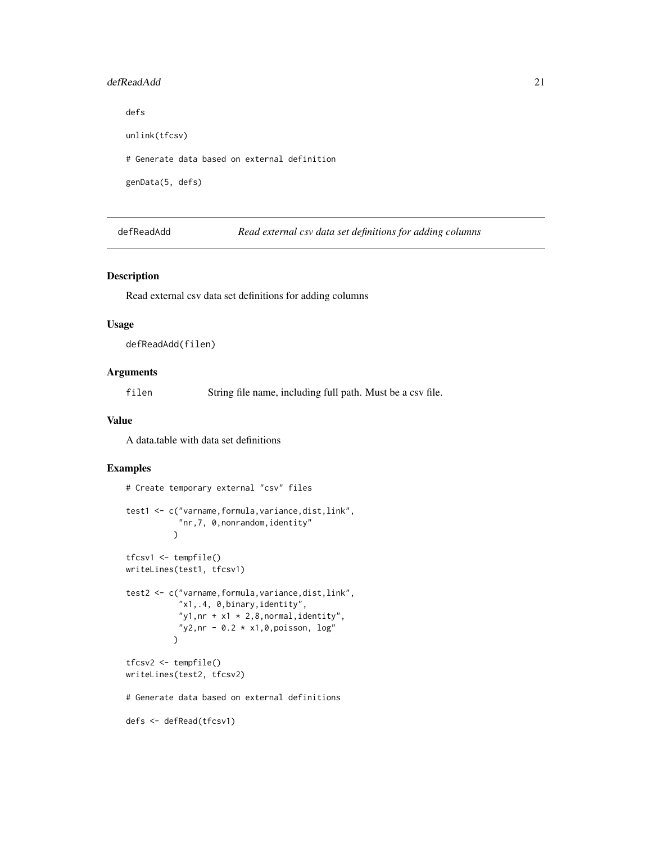#### <span id="page-20-0"></span>defReadAdd 21

defs unlink(tfcsv)

# Generate data based on external definition

genData(5, defs)

defReadAdd *Read external csv data set definitions for adding columns*

# Description

Read external csv data set definitions for adding columns

## Usage

defReadAdd(filen)

## Arguments

filen String file name, including full path. Must be a csv file.

## Value

A data.table with data set definitions

```
# Create temporary external "csv" files
test1 <- c("varname,formula,variance,dist,link",
            "nr,7, 0,nonrandom,identity"
           \lambdatfcsv1 <- tempfile()
writeLines(test1, tfcsv1)
test2 <- c("varname,formula,variance,dist,link",
           "x1,.4, 0,binary,identity",
           "y1,nr + x1 \times 2,8, normal, identity",
           "y2,nr - 0.2 \times x1, 0, poisson, \log"
          \lambdatfcsv2 <- tempfile()
writeLines(test2, tfcsv2)
# Generate data based on external definitions
defs <- defRead(tfcsv1)
```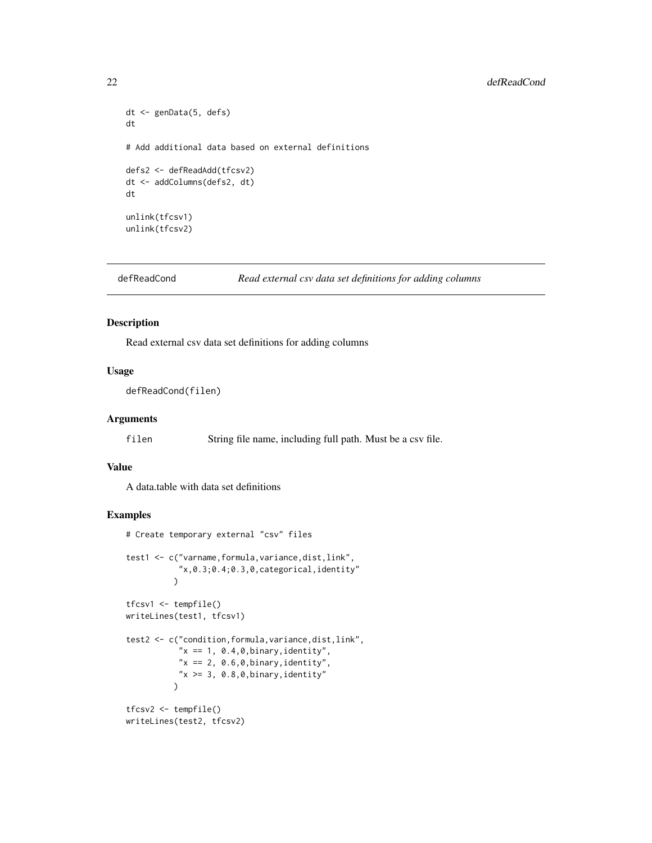```
dt <- genData(5, defs)
dt
# Add additional data based on external definitions
defs2 <- defReadAdd(tfcsv2)
dt <- addColumns(defs2, dt)
dt
unlink(tfcsv1)
unlink(tfcsv2)
```

```
defReadCond Read external csv data set definitions for adding columns
```
Read external csv data set definitions for adding columns

#### Usage

```
defReadCond(filen)
```
#### Arguments

filen String file name, including full path. Must be a csv file.

#### Value

A data.table with data set definitions

```
# Create temporary external "csv" files
test1 <- c("varname,formula,variance,dist,link",
           "x,0.3;0.4;0.3,0,categorical,identity"
          \mathcal{L}tfcsv1 <- tempfile()
writeLines(test1, tfcsv1)
test2 <- c("condition,formula,variance,dist,link",
           "x == 1, 0.4, 0, 0.0 inary, identity",
           "x == 2, 0.6, 0, binary, identity","x \ge 3, 0.8,0, binary, identity"
          \lambdatfcsv2 <- tempfile()
writeLines(test2, tfcsv2)
```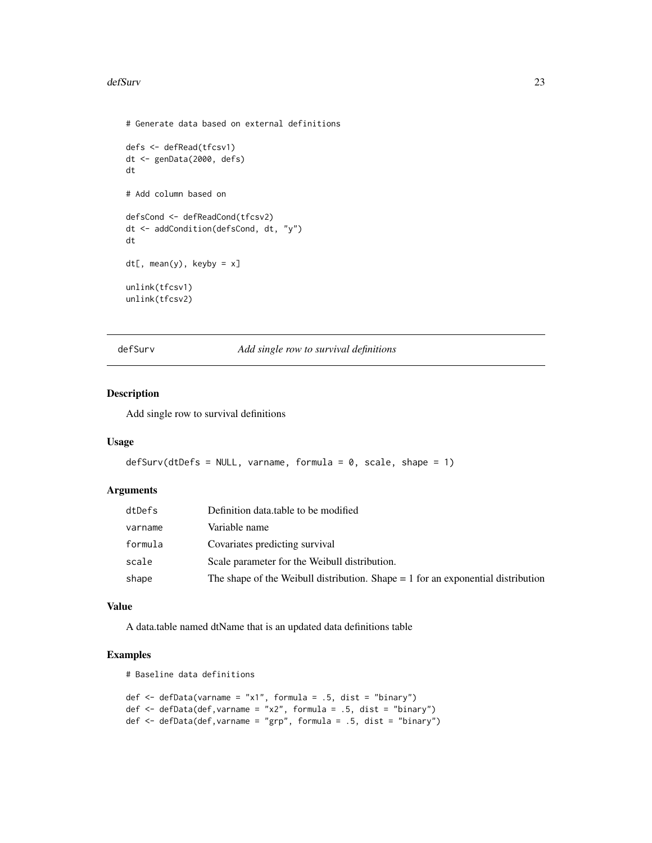#### <span id="page-22-0"></span>defSurv 23

```
# Generate data based on external definitions
defs <- defRead(tfcsv1)
dt <- genData(2000, defs)
dt
# Add column based on
defsCond <- defReadCond(tfcsv2)
dt <- addCondition(defsCond, dt, "y")
dt
dt[, mean(y), keyby = x]
unlink(tfcsv1)
unlink(tfcsv2)
```
defSurv *Add single row to survival definitions*

# Description

Add single row to survival definitions

## Usage

```
defSurv(dtDefs = NULL, varname, formula = 0, scale, shape = 1)
```
## Arguments

| dtDefs  | Definition data table to be modified                                               |
|---------|------------------------------------------------------------------------------------|
| varname | Variable name                                                                      |
| formula | Covariates predicting survival                                                     |
| scale   | Scale parameter for the Weibull distribution.                                      |
| shape   | The shape of the Weibull distribution. Shape $= 1$ for an exponential distribution |

#### Value

A data.table named dtName that is an updated data definitions table

# Examples

# Baseline data definitions

```
def <- defData(varname = "x1", formula = .5, dist = "binary")
def \leq defData(def, varname = "x2", formula = .5, dist = "binary")
def \leq defData(def, varname = "grp", formula = .5, dist = "binary")
```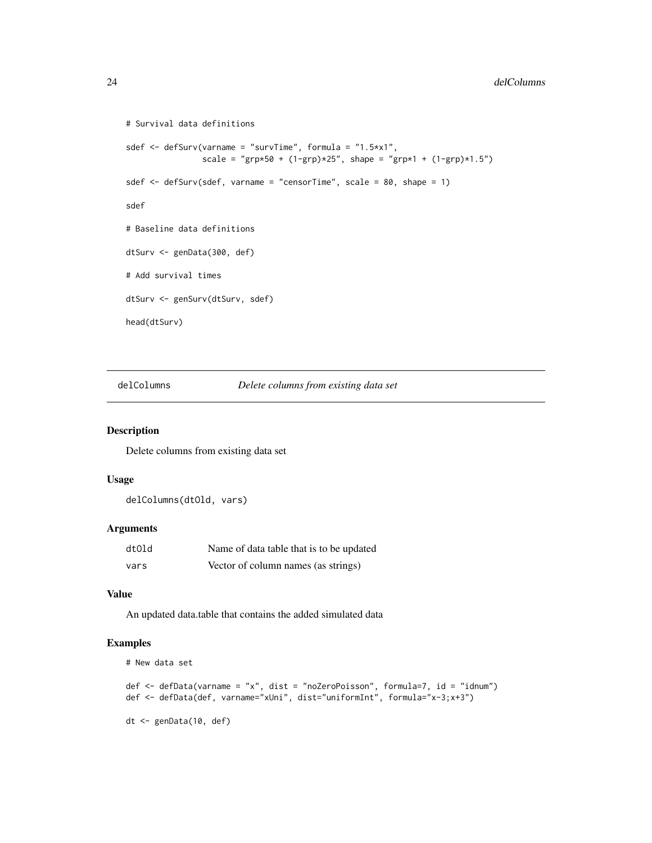```
# Survival data definitions
sdef <- defSurv(varname = "survTime", formula = "1.5*x1",
                scale = "grp*50 + (1-\text{grp})*25", shape = "grp*1 + (1-\text{grp})*1.5")
sdef <- defSurv(sdef, varname = "censorTime", scale = 80, shape = 1)
sdef
# Baseline data definitions
dtSurv <- genData(300, def)
# Add survival times
dtSurv <- genSurv(dtSurv, sdef)
head(dtSurv)
```
delColumns *Delete columns from existing data set*

## Description

Delete columns from existing data set

# Usage

delColumns(dtOld, vars)

## Arguments

| dtOld | Name of data table that is to be updated |
|-------|------------------------------------------|
| vars  | Vector of column names (as strings)      |

## Value

An updated data.table that contains the added simulated data

```
# New data set
def <- defData(varname = "x", dist = "noZeroPoisson", formula=7, id = "idnum")
def <- defData(def, varname="xUni", dist="uniformInt", formula="x-3;x+3")
dt <- genData(10, def)
```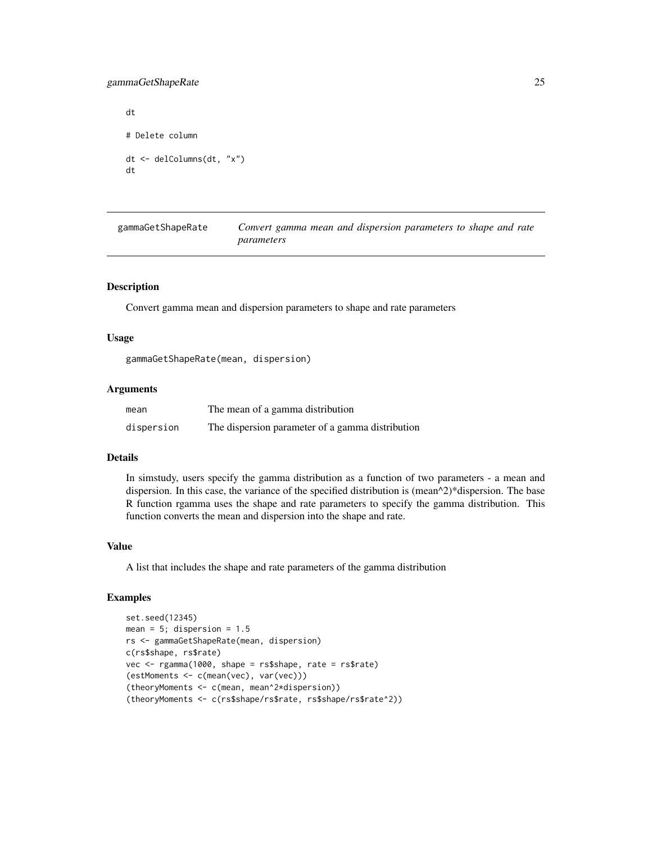# <span id="page-24-0"></span>gammaGetShapeRate 25

```
dt
# Delete column
dt <- delColumns(dt, "x")
dt
```

| gammaGetShapeRate | Convert gamma mean and dispersion parameters to shape and rate |
|-------------------|----------------------------------------------------------------|
|                   | parameters                                                     |

# Description

Convert gamma mean and dispersion parameters to shape and rate parameters

#### Usage

gammaGetShapeRate(mean, dispersion)

## Arguments

| mean       | The mean of a gamma distribution                 |
|------------|--------------------------------------------------|
| dispersion | The dispersion parameter of a gamma distribution |

# Details

In simstudy, users specify the gamma distribution as a function of two parameters - a mean and dispersion. In this case, the variance of the specified distribution is (mean^2)\*dispersion. The base R function rgamma uses the shape and rate parameters to specify the gamma distribution. This function converts the mean and dispersion into the shape and rate.

## Value

A list that includes the shape and rate parameters of the gamma distribution

```
set.seed(12345)
mean = 5; dispersion = 1.5rs <- gammaGetShapeRate(mean, dispersion)
c(rs$shape, rs$rate)
vec <- rgamma(1000, shape = rs$shape, rate = rs$rate)
(estMoments <- c(mean(vec), var(vec)))
(theoryMoments <- c(mean, mean^2*dispersion))
(theoryMoments <- c(rs$shape/rs$rate, rs$shape/rs$rate^2))
```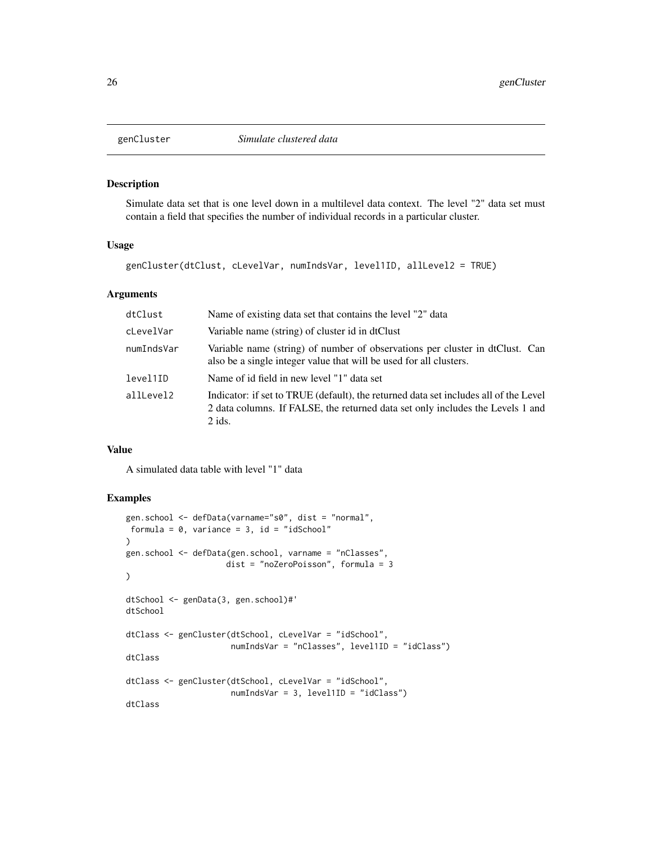<span id="page-25-0"></span>

Simulate data set that is one level down in a multilevel data context. The level "2" data set must contain a field that specifies the number of individual records in a particular cluster.

# Usage

genCluster(dtClust, cLevelVar, numIndsVar, level1ID, allLevel2 = TRUE)

#### Arguments

| dtClust    | Name of existing data set that contains the level "2" data                                                                                                                         |
|------------|------------------------------------------------------------------------------------------------------------------------------------------------------------------------------------|
| cLevelVar  | Variable name (string) of cluster id in dtClust                                                                                                                                    |
| numIndsVar | Variable name (string) of number of observations per cluster in dtClust. Can<br>also be a single integer value that will be used for all clusters.                                 |
| level1ID   | Name of id field in new level "1" data set                                                                                                                                         |
| allLevel2  | Indicator: if set to TRUE (default), the returned data set includes all of the Level<br>2 data columns. If FALSE, the returned data set only includes the Levels 1 and<br>$2$ ids. |

## Value

A simulated data table with level "1" data

```
gen.school <- defData(varname="s0", dist = "normal",
formula = 0, variance = 3, id = "idSchool"
\mathcal{L}gen.school <- defData(gen.school, varname = "nClasses",
                      dist = "noZeroPoisson", formula = 3
\mathcal{L}dtSchool <- genData(3, gen.school)#'
dtSchool
dtClass <- genCluster(dtSchool, cLevelVar = "idSchool",
                       numIndsVar = "nClasses", level1ID = "idClass")
dtClass
dtClass <- genCluster(dtSchool, cLevelVar = "idSchool",
                       numIndsVar = 3, level1ID = "idClass")
dtClass
```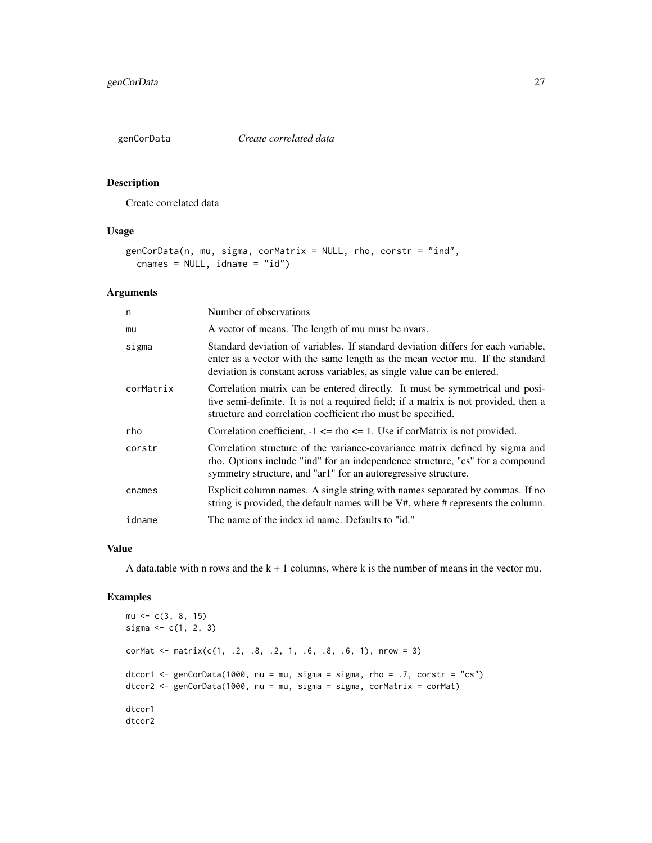<span id="page-26-0"></span>

Create correlated data

# Usage

```
genCorData(n, mu, sigma, corMatrix = NULL, rho, corstr = "ind",
  cnames = NULL, idname = "id")
```
## Arguments

| n         | Number of observations                                                                                                                                                                                                                        |
|-----------|-----------------------------------------------------------------------------------------------------------------------------------------------------------------------------------------------------------------------------------------------|
| mu        | A vector of means. The length of mu must be nyars.                                                                                                                                                                                            |
| sigma     | Standard deviation of variables. If standard deviation differs for each variable,<br>enter as a vector with the same length as the mean vector mu. If the standard<br>deviation is constant across variables, as single value can be entered. |
| corMatrix | Correlation matrix can be entered directly. It must be symmetrical and posi-<br>tive semi-definite. It is not a required field; if a matrix is not provided, then a<br>structure and correlation coefficient rho must be specified.           |
| rho       | Correlation coefficient, $-1 \leq \text{rho} \leq 1$ . Use if corMatrix is not provided.                                                                                                                                                      |
| corstr    | Correlation structure of the variance-covariance matrix defined by sigma and<br>rho. Options include "ind" for an independence structure, "cs" for a compound<br>symmetry structure, and "ar1" for an autoregressive structure.               |
| cnames    | Explicit column names. A single string with names separated by commas. If no<br>string is provided, the default names will be V#, where # represents the column.                                                                              |
| idname    | The name of the index id name. Defaults to "id."                                                                                                                                                                                              |

## Value

A data.table with n rows and the  $k + 1$  columns, where k is the number of means in the vector mu.

```
mu \leftarrow c(3, 8, 15)sigma <-c(1, 2, 3)corMat <- matrix(c(1, .2, .8, .2, 1, .6, .8, .6, 1), nrow = 3)
dtcor1 <- genCorData(1000, mu = mu, sigma = sigma, rho = .7, corstr = "cs")
dtcor2 <- genCorData(1000, mu = mu, sigma = sigma, corMatrix = corMat)
dtcor1
dtcor2
```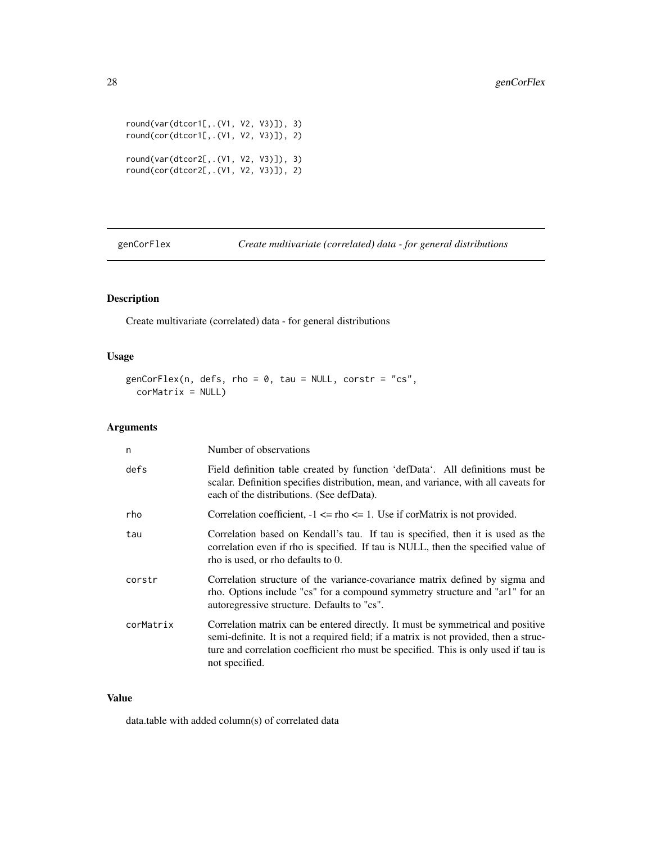<span id="page-27-0"></span>round(var(dtcor1[,.(V1, V2, V3)]), 3) round(cor(dtcor1[,.(V1, V2, V3)]), 2) round(var(dtcor2[,.(V1, V2, V3)]), 3) round(cor(dtcor2[,.(V1, V2, V3)]), 2)

genCorFlex *Create multivariate (correlated) data - for general distributions*

# Description

Create multivariate (correlated) data - for general distributions

# Usage

genCorFlex(n, defs, rho = 0, tau = NULL, corstr = "cs", corMatrix = NULL)

## Arguments

| n         | Number of observations                                                                                                                                                                                                                                                            |
|-----------|-----------------------------------------------------------------------------------------------------------------------------------------------------------------------------------------------------------------------------------------------------------------------------------|
| defs      | Field definition table created by function 'defData'. All definitions must be<br>scalar. Definition specifies distribution, mean, and variance, with all caveats for<br>each of the distributions. (See defData).                                                                 |
| rho       | Correlation coefficient, $-1 \leq \text{rho} \leq 1$ . Use if cormatrix is not provided.                                                                                                                                                                                          |
| tau       | Correlation based on Kendall's tau. If tau is specified, then it is used as the<br>correlation even if rho is specified. If tau is NULL, then the specified value of<br>rho is used, or rho defaults to 0.                                                                        |
| corstr    | Correlation structure of the variance-covariance matrix defined by sigma and<br>rho. Options include "cs" for a compound symmetry structure and "ar1" for an<br>autoregressive structure. Defaults to "cs".                                                                       |
| corMatrix | Correlation matrix can be entered directly. It must be symmetrical and positive<br>semi-definite. It is not a required field; if a matrix is not provided, then a struc-<br>ture and correlation coefficient rho must be specified. This is only used if tau is<br>not specified. |

# Value

data.table with added column(s) of correlated data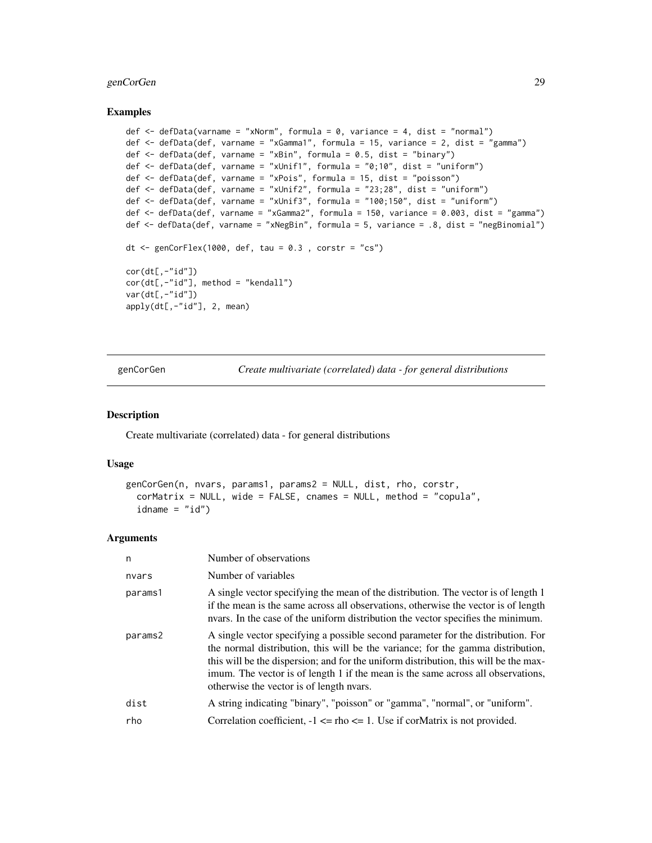# <span id="page-28-0"></span>genCorGen 29

#### Examples

```
def \leq defData(varname = "xNorm", formula = 0, variance = 4, dist = "normal")
def <- defData(def, varname = "xGamma1", formula = 15, variance = 2, dist = "gamma")
def \leq defData(def, varname = "xBin", formula = 0.5, dist = "binary")
def <- defData(def, varname = "xUnif1", formula = "0;10", dist = "uniform")
def <- defData(def, varname = "xPois", formula = 15, dist = "poisson")
def <- defData(def, varname = "xUnif2", formula = "23;28", dist = "uniform")
def <- defData(def, varname = "xUnif3", formula = "100;150", dist = "uniform")
def <- defData(def, varname = "xGamma2", formula = 150, variance = 0.003, dist = "gamma")
def <- defData(def, varname = "xNegBin", formula = 5, variance = .8, dist = "negBinomial")
dt \leq genCorFlex(1000, def, tau = 0.3, corstr = "cs")
cor(dt[,-"id"])
cor(dt[, - "id"], method = "kendall")
var(dt[,-"id"])
apply(dt[,-"id"], 2, mean)
```
genCorGen *Create multivariate (correlated) data - for general distributions*

## Description

Create multivariate (correlated) data - for general distributions

#### Usage

```
genCorGen(n, nvars, params1, params2 = NULL, dist, rho, corstr,
  corMatrix = NULL, wide = FALSE, cnames = NULL, method = "copula",
  idname = "id")
```
#### Arguments

| Number of observations                                                                                                                                                                                                                                                                                                                                                                      |
|---------------------------------------------------------------------------------------------------------------------------------------------------------------------------------------------------------------------------------------------------------------------------------------------------------------------------------------------------------------------------------------------|
| Number of variables                                                                                                                                                                                                                                                                                                                                                                         |
| A single vector specifying the mean of the distribution. The vector is of length 1<br>if the mean is the same across all observations, otherwise the vector is of length<br>nears. In the case of the uniform distribution the vector specifies the minimum.                                                                                                                                |
| A single vector specifying a possible second parameter for the distribution. For<br>the normal distribution, this will be the variance; for the gamma distribution,<br>this will be the dispersion; and for the uniform distribution, this will be the max-<br>imum. The vector is of length 1 if the mean is the same across all observations,<br>otherwise the vector is of length nyars. |
| A string indicating "binary", "poisson" or "gamma", "normal", or "uniform".                                                                                                                                                                                                                                                                                                                 |
| Correlation coefficient, $-1 \leq \text{rho} \leq 1$ . Use if corMatrix is not provided.                                                                                                                                                                                                                                                                                                    |
|                                                                                                                                                                                                                                                                                                                                                                                             |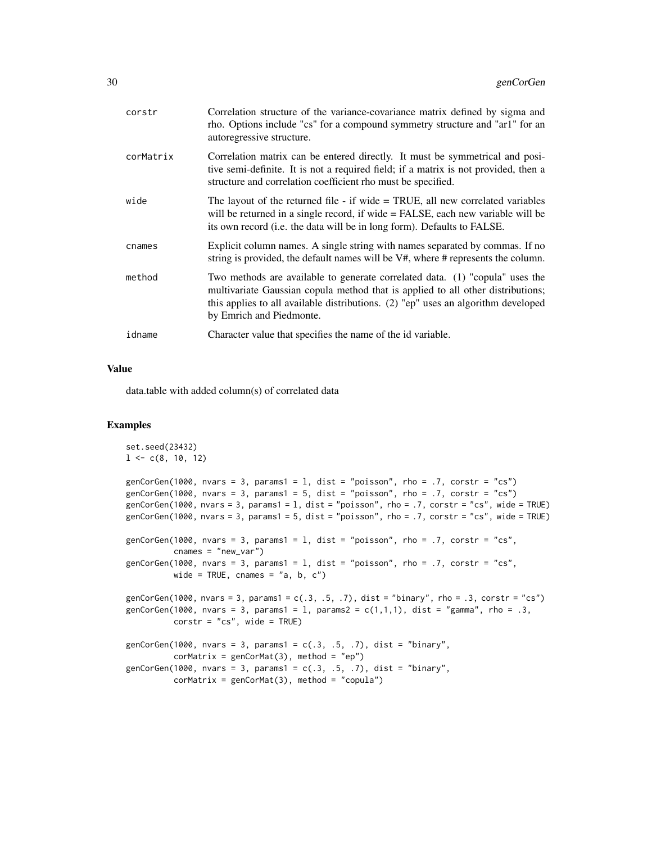| corstr    | Correlation structure of the variance-covariance matrix defined by sigma and<br>rho. Options include "cs" for a compound symmetry structure and "ar1" for an<br>autoregressive structure.                                                                                        |
|-----------|----------------------------------------------------------------------------------------------------------------------------------------------------------------------------------------------------------------------------------------------------------------------------------|
| corMatrix | Correlation matrix can be entered directly. It must be symmetrical and posi-<br>tive semi-definite. It is not a required field; if a matrix is not provided, then a<br>structure and correlation coefficient rho must be specified.                                              |
| wide      | The layout of the returned file - if wide $=$ TRUE, all new correlated variables<br>will be returned in a single record, if wide = FALSE, each new variable will be<br>its own record (i.e. the data will be in long form). Defaults to FALSE.                                   |
| cnames    | Explicit column names. A single string with names separated by commas. If no<br>string is provided, the default names will be V#, where # represents the column.                                                                                                                 |
| method    | Two methods are available to generate correlated data. (1) "copula" uses the<br>multivariate Gaussian copula method that is applied to all other distributions;<br>this applies to all available distributions. (2) "ep" uses an algorithm developed<br>by Emrich and Piedmonte. |
| idname    | Character value that specifies the name of the id variable.                                                                                                                                                                                                                      |
|           |                                                                                                                                                                                                                                                                                  |

## Value

data.table with added column(s) of correlated data

```
set.seed(23432)
1 \leq c(8, 10, 12)genCorGen(1000, nvars = 3, params1 = 1, dist = "poisson", rho = .7, corstr = "cs")
genCorGen(1000, nvars = 3, params1 = 5, dist = "poisson", rho = .7, corstr = "cs")
genCorGen(1000, nvars = 3, params1 = l, dist = "poisson", rho = .7, corstr = "cs", wide = TRUE)
genCorGen(1000, nvars = 3, params1 = 5, dist = "poisson", rho = .7, corstr = "cs", wide = TRUE)
genCorGen(1000, nvars = 3, params1 = 1, dist = "poisson", rho = .7, corstr = "cs",
          cnames = "new_var")
genCorGen(1000, nvars = 3, params1 = 1, dist = "poisson", rho = .7, corstr = "cs",
          wide = TRUE, cnames = "a, b, c")
genCorGen(1000, nvars = 3, params1 = c(.3, .5, .7), dist = "binary", rho = .3, corstr = "cs")
genCorGen(1000, nvars = 3, params1 = 1, params2 = c(1,1,1), dist = "gamma", rho = .3,
          corr = "cs", \text{ wide} = TRUE)genCorGen(1000, nvars = 3, params1 = c(.3, .5, .7), dist = "binary",
          corMatrix = genCorMat(3), method = "ep")
genCorGen(1000, nvars = 3, params1 = c(.3, .5, .7), dist = "binary",
          corMatrix = genCorMat(3), method = "copula")
```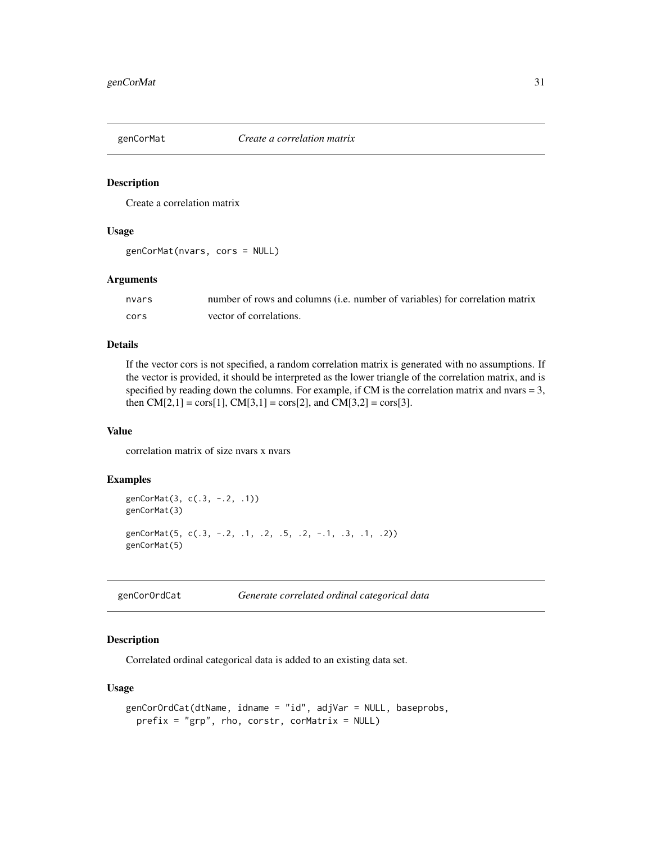<span id="page-30-0"></span>

Create a correlation matrix

## Usage

```
genCorMat(nvars, cors = NULL)
```
#### Arguments

| nvars | number of rows and columns ( <i>i.e.</i> number of variables) for correlation matrix |
|-------|--------------------------------------------------------------------------------------|
| cors  | vector of correlations.                                                              |

# Details

If the vector cors is not specified, a random correlation matrix is generated with no assumptions. If the vector is provided, it should be interpreted as the lower triangle of the correlation matrix, and is specified by reading down the columns. For example, if CM is the correlation matrix and nvars = 3, then  $CM[2,1] = \cos[1]$ ,  $CM[3,1] = \cos[2]$ , and  $CM[3,2] = \cos[3]$ .

#### Value

correlation matrix of size nvars x nvars

# Examples

```
genCorMat(3, c(.3, -.2, .1))
genCorMat(3)
genCorMat(5, c(.3, -.2, .1, .2, .5, .2, -.1, .3, .1, .2))
genCorMat(5)
```
genCorOrdCat *Generate correlated ordinal categorical data*

## Description

Correlated ordinal categorical data is added to an existing data set.

#### Usage

```
genCorOrdCat(dtName, idname = "id", adjVar = NULL, baseprobs,
 prefix = "grp", rho, corstr, corMatrix = NULL)
```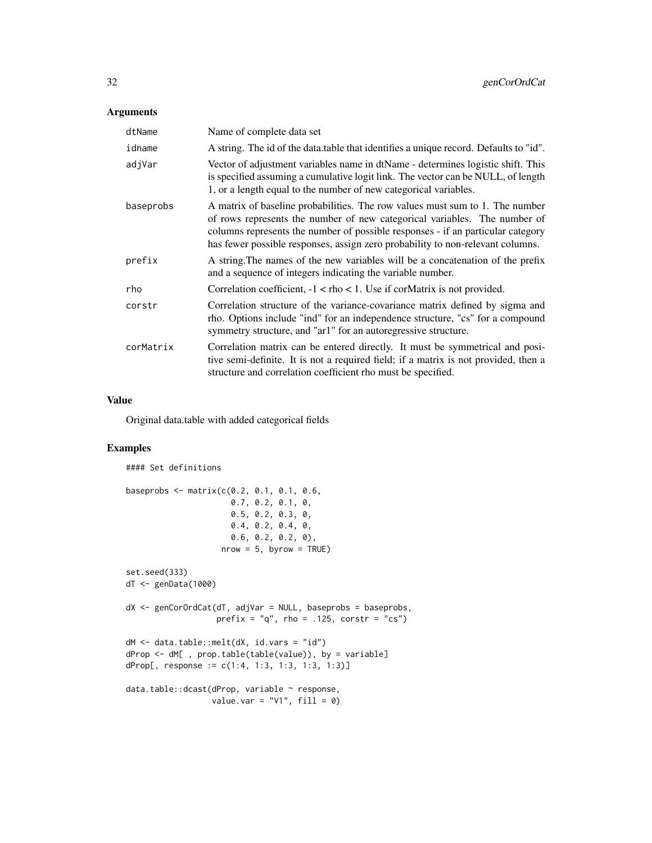# Arguments

| dtName    | Name of complete data set                                                                                                                                                                                                                                                                                                      |
|-----------|--------------------------------------------------------------------------------------------------------------------------------------------------------------------------------------------------------------------------------------------------------------------------------------------------------------------------------|
| idname    | A string. The id of the data table that identifies a unique record. Defaults to "id".                                                                                                                                                                                                                                          |
| adjVar    | Vector of adjustment variables name in dtName - determines logistic shift. This<br>is specified assuming a cumulative logit link. The vector can be NULL, of length<br>1, or a length equal to the number of new categorical variables.                                                                                        |
| baseprobs | A matrix of baseline probabilities. The row values must sum to 1. The number<br>of rows represents the number of new categorical variables. The number of<br>columns represents the number of possible responses - if an particular category<br>has fewer possible responses, assign zero probability to non-relevant columns. |
| prefix    | A string. The names of the new variables will be a concatenation of the prefix<br>and a sequence of integers indicating the variable number.                                                                                                                                                                                   |
| rho       | Correlation coefficient, $-1 <$ rho $< 1$ . Use if cormatrix is not provided.                                                                                                                                                                                                                                                  |
| corstr    | Correlation structure of the variance-covariance matrix defined by sigma and<br>rho. Options include "ind" for an independence structure, "cs" for a compound<br>symmetry structure, and "ar1" for an autoregressive structure.                                                                                                |
| corMatrix | Correlation matrix can be entered directly. It must be symmetrical and posi-<br>tive semi-definite. It is not a required field; if a matrix is not provided, then a<br>structure and correlation coefficient rho must be specified.                                                                                            |

## Value

Original data.table with added categorical fields

```
#### Set definitions
baseprobs <- matrix(c(0.2, 0.1, 0.1, 0.6,
                     0.7, 0.2, 0.1, 0,
                     0.5, 0.2, 0.3, 0,
                     0.4, 0.2, 0.4, 0,
                     0.6, 0.2, 0.2, 0),
                    nrow = 5, byrow = TRUE)
set.seed(333)
dT <- genData(1000)
dX <- genCorOrdCat(dT, adjVar = NULL, baseprobs = baseprobs,
                  prefix = "q", rho = .125, corstr = "cs")dM <- data.table::melt(dX, id.vars = "id")
dProp <- dM[ , prop.table(table(value)), by = variable]
dProp[, response := c(1:4, 1:3, 1:3, 1:3, 1:3)]
data.table::dcast(dProp, variable ~ response,
                 value.var = "V1", fill = 0)
```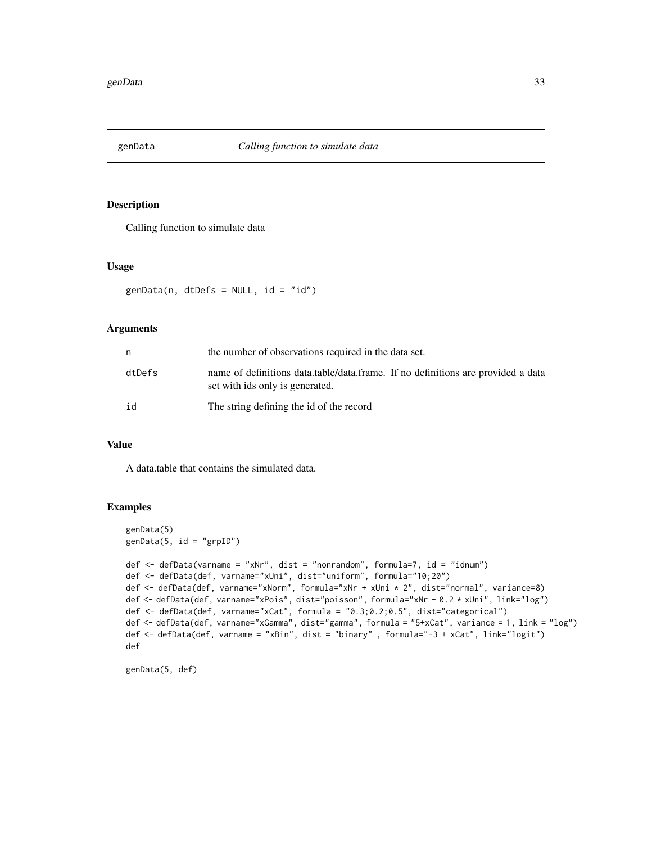<span id="page-32-0"></span>

Calling function to simulate data

#### Usage

 $genData(n, dtDefs = NULL, id = "id")$ 

## Arguments

| n      | the number of observations required in the data set.                                                                |
|--------|---------------------------------------------------------------------------------------------------------------------|
| dtDefs | name of definitions data.table/data.frame. If no definitions are provided a data<br>set with ids only is generated. |
| id     | The string defining the id of the record                                                                            |

# Value

A data.table that contains the simulated data.

# Examples

```
genData(5)
genData(5, id = "grpID")def <- defData(varname = "xNr", dist = "nonrandom", formula=7, id = "idnum")
def <- defData(def, varname="xUni", dist="uniform", formula="10;20")
def <- defData(def, varname="xNorm", formula="xNr + xUni * 2", dist="normal", variance=8)
def <- defData(def, varname="xPois", dist="poisson", formula="xNr - 0.2 * xUni", link="log")
def <- defData(def, varname="xCat", formula = "0.3;0.2;0.5", dist="categorical")
def <- defData(def, varname="xGamma", dist="gamma", formula = "5+xCat", variance = 1, link = "log")
def <- defData(def, varname = "xBin", dist = "binary" , formula="-3 + xCat", link="logit")
def
```
genData(5, def)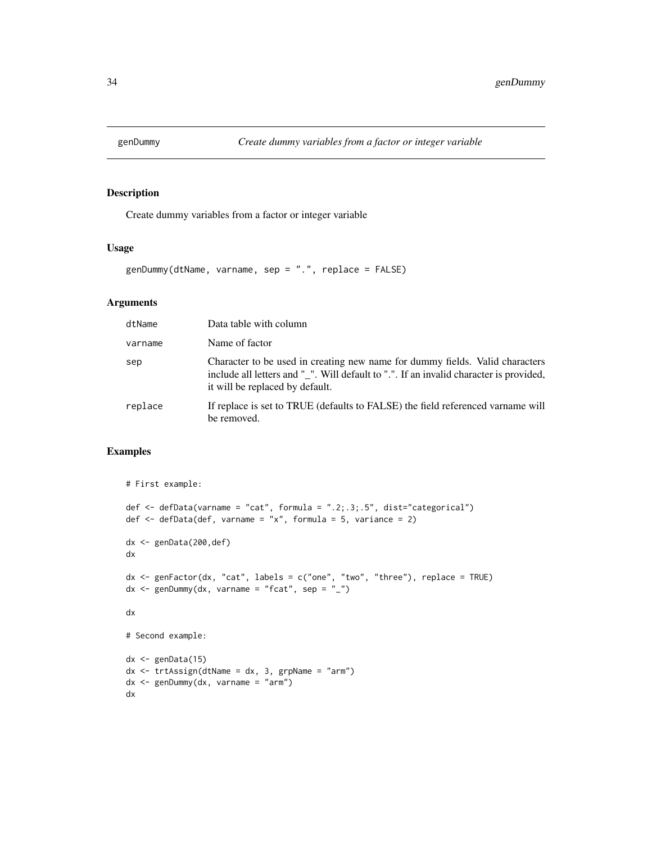<span id="page-33-0"></span>

Create dummy variables from a factor or integer variable

## Usage

```
genDummy(dtName, varname, sep = ".", replace = FALSE)
```
# Arguments

| dtName  | Data table with column                                                                                                                                                                                    |
|---------|-----------------------------------------------------------------------------------------------------------------------------------------------------------------------------------------------------------|
| varname | Name of factor                                                                                                                                                                                            |
| sep     | Character to be used in creating new name for dummy fields. Valid characters<br>include all letters and "_". Will default to ".". If an invalid character is provided,<br>it will be replaced by default. |
| replace | If replace is set to TRUE (defaults to FALSE) the field referenced varname will<br>be removed.                                                                                                            |

```
# First example:
def <- defData(varname = "cat", formula = ".2;.3;.5", dist="categorical")
def \leq defData(def, varname = "x", formula = 5, variance = 2)
dx <- genData(200,def)
dx
dx <- genFactor(dx, "cat", labels = c("one", "two", "three"), replace = TRUE)
dx \leq - genDummy(dx, varname = "fcat", sep = "_")
dx
# Second example:
dx \leq - genData(15)
dx <- trtAssign(dtName = dx, 3, grpName = "arm")
dx <- genDummy(dx, varname = "arm")
dx
```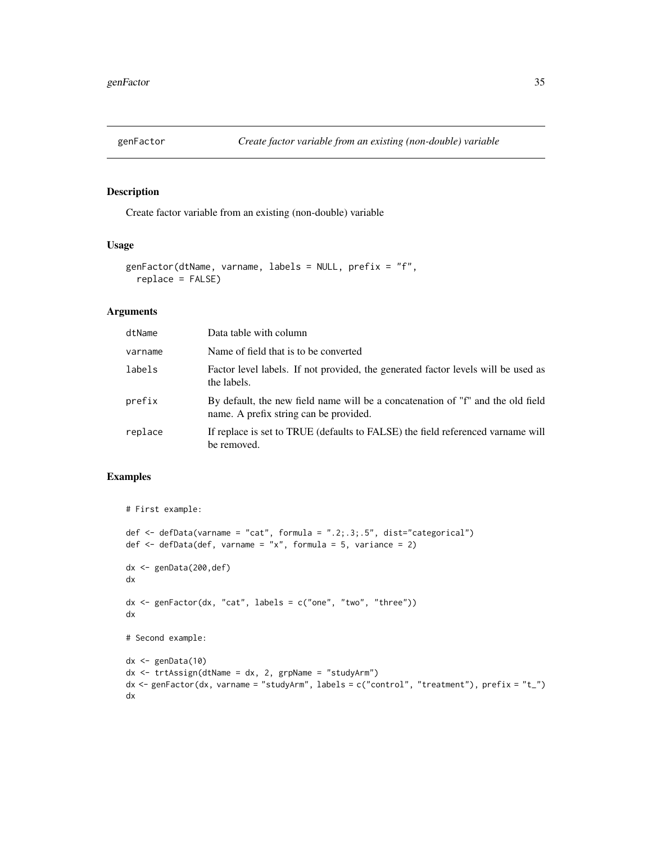<span id="page-34-0"></span>

Create factor variable from an existing (non-double) variable

# Usage

```
genFactor(dtName, varname, labels = NULL, prefix = "f",
  replace = FALSE)
```
# Arguments

| dtName  | Data table with column                                                                                                    |
|---------|---------------------------------------------------------------------------------------------------------------------------|
| varname | Name of field that is to be converted                                                                                     |
| labels  | Factor level labels. If not provided, the generated factor levels will be used as<br>the labels.                          |
| prefix  | By default, the new field name will be a concatenation of "f" and the old field<br>name. A prefix string can be provided. |
| replace | If replace is set to TRUE (defaults to FALSE) the field referenced variance will<br>be removed.                           |

```
# First example:
def <- defData(varname = "cat", formula = ".2;.3;.5", dist="categorical")
def \leq defData(def, varname = "x", formula = 5, variance = 2)
dx <- genData(200,def)
dx
dx <- genFactor(dx, "cat", labels = c("one", "two", "three"))
dx
# Second example:
dx <- genData(10)
dx <- trtAssign(dtName = dx, 2, grpName = "studyArm")
dx <- genFactor(dx, varname = "studyArm", labels = c("control", "treatment"), prefix = "t_")
dx
```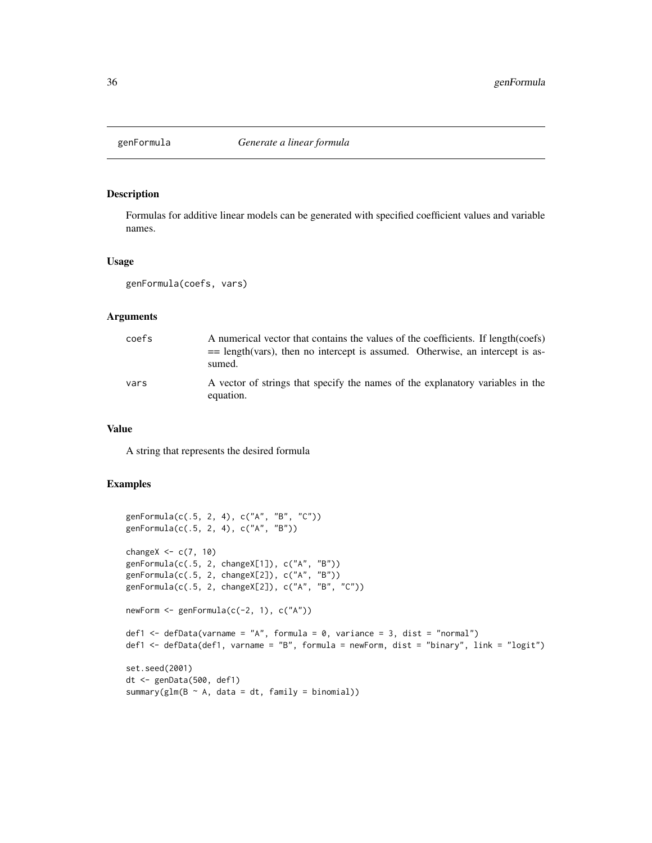<span id="page-35-0"></span>

Formulas for additive linear models can be generated with specified coefficient values and variable names.

#### Usage

```
genFormula(coefs, vars)
```
## Arguments

| coefs | A numerical vector that contains the values of the coefficients. If length (coefs)<br>$=$ length (vars), then no intercept is assumed. Otherwise, an intercept is as-<br>sumed. |
|-------|---------------------------------------------------------------------------------------------------------------------------------------------------------------------------------|
| vars  | A vector of strings that specify the names of the explanatory variables in the<br>equation.                                                                                     |

#### Value

A string that represents the desired formula

```
genFormula(c(.5, 2, 4), c("A", "B", "C"))
genFormula(c(.5, 2, 4), c("A", "B"))
changeX \leq c(7, 10)
genFormula(c(.5, 2, changeX[1]), c("A", "B"))
genFormula(c(.5, 2, changeX[2]), c("A", "B"))
genFormula(c(.5, 2, changeX[2]), c("A", "B", "C"))
newForm <- genFormula(c(-2, 1), c("A"))
def1 \leq defData(varname = "A", formula = 0, variance = 3, dist = "normal")
def1 <- defData(def1, varname = "B", formula = newForm, dist = "binary", link = "logit")
set.seed(2001)
dt <- genData(500, def1)
summary(glm(B \sim A, data = dt, family = binomial))
```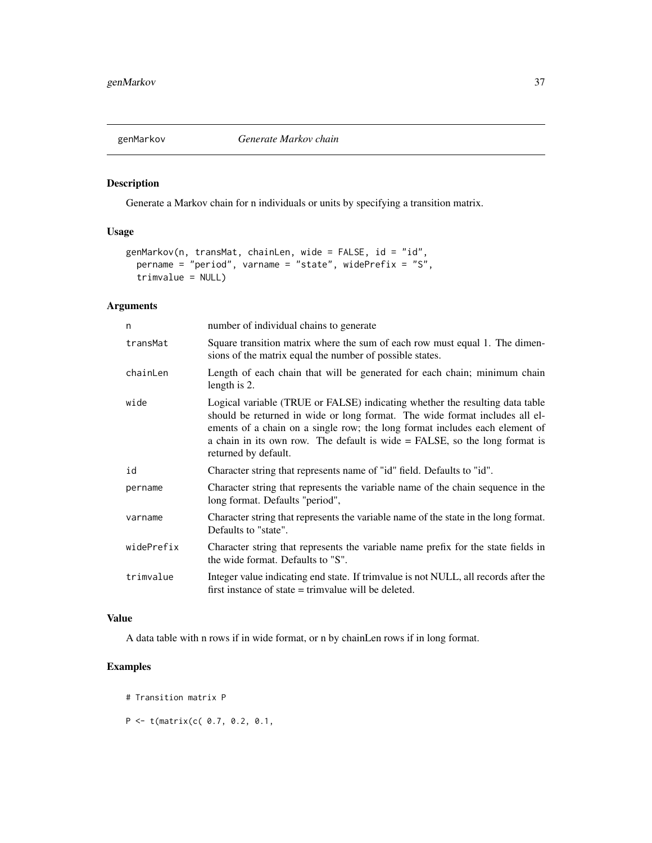<span id="page-36-0"></span>

Generate a Markov chain for n individuals or units by specifying a transition matrix.

# Usage

```
genMarkov(n, transMat, chainLen, wide = FALSE, id = "id",
 pername = "period", varname = "state", widePrefix = "S",
  trimvalue = NULL)
```
# Arguments

| number of individual chains to generate                                                                                                                                                                                                                                                                                                          |  |
|--------------------------------------------------------------------------------------------------------------------------------------------------------------------------------------------------------------------------------------------------------------------------------------------------------------------------------------------------|--|
| Square transition matrix where the sum of each row must equal 1. The dimen-<br>sions of the matrix equal the number of possible states.                                                                                                                                                                                                          |  |
| Length of each chain that will be generated for each chain; minimum chain<br>length is 2.                                                                                                                                                                                                                                                        |  |
| Logical variable (TRUE or FALSE) indicating whether the resulting data table<br>should be returned in wide or long format. The wide format includes all el-<br>ements of a chain on a single row; the long format includes each element of<br>a chain in its own row. The default is wide = FALSE, so the long format is<br>returned by default. |  |
| Character string that represents name of "id" field. Defaults to "id".                                                                                                                                                                                                                                                                           |  |
| Character string that represents the variable name of the chain sequence in the<br>long format. Defaults "period",                                                                                                                                                                                                                               |  |
| Character string that represents the variable name of the state in the long format.<br>Defaults to "state".                                                                                                                                                                                                                                      |  |
| Character string that represents the variable name prefix for the state fields in<br>the wide format. Defaults to "S".                                                                                                                                                                                                                           |  |
| Integer value indicating end state. If trimvalue is not NULL, all records after the<br>first instance of state $=$ trimvalue will be deleted.                                                                                                                                                                                                    |  |
|                                                                                                                                                                                                                                                                                                                                                  |  |

# Value

A data table with n rows if in wide format, or n by chainLen rows if in long format.

- # Transition matrix P
- $P \le f(\text{matrix}(c( 0.7, 0.2, 0.1,$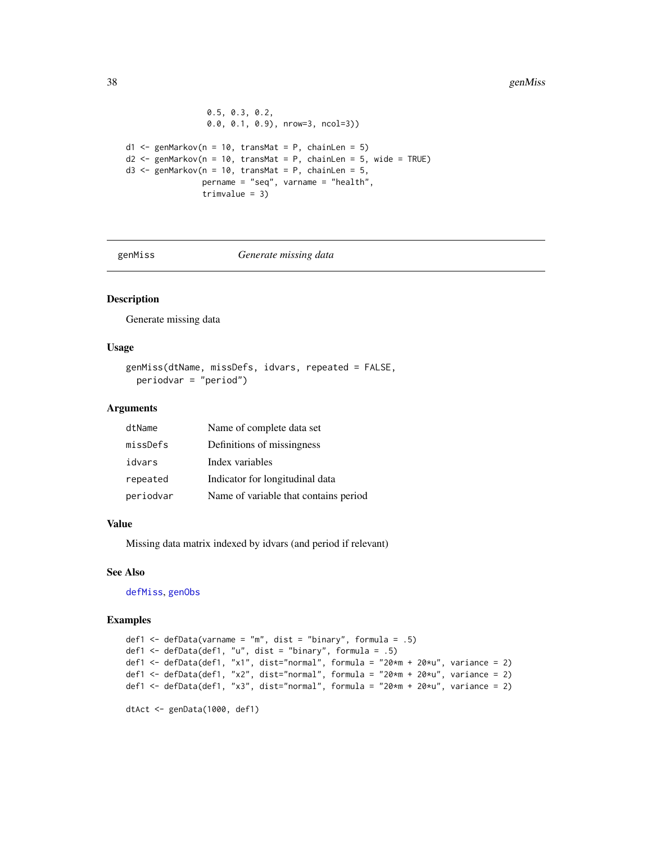```
0.5, 0.3, 0.2,
                 0.0, 0.1, 0.9), nrow=3, ncol=3))
d1 \leq - genMarkov(n = 10, transMat = P, chainLen = 5)
d2 \leq genMarkov(n = 10, transMat = P, chainLen = 5, wide = TRUE)
d3 <- genMarkov(n = 10, transMat = P, chainLen = 5,
                pername = "seq", varname = "health",
                trimvalue = 3)
```
<span id="page-37-1"></span>genMiss *Generate missing data*

# Description

Generate missing data

# Usage

```
genMiss(dtName, missDefs, idvars, repeated = FALSE,
 periodvar = "period")
```
#### Arguments

| dtName    | Name of complete data set             |
|-----------|---------------------------------------|
| missDefs  | Definitions of missingness            |
| idvars    | Index variables                       |
| repeated  | Indicator for longitudinal data       |
| periodvar | Name of variable that contains period |

# Value

Missing data matrix indexed by idvars (and period if relevant)

#### See Also

[defMiss](#page-18-1), [genObs](#page-40-1)

```
def1 \leq defData(varname = "m", dist = "binary", formula = .5)
def1 <- defData(def1, "u", dist = "binary", formula = .5)
def1 <- defData(def1, "x1", dist="normal", formula = "20*m + 20*u", variance = 2)
def1 <- defData(def1, "x2", dist="normal", formula = "20*m + 20*u", variance = 2)
def1 <- defData(def1, "x3", dist="normal", formula = "20*m + 20*u", variance = 2)
dtAct <- genData(1000, def1)
```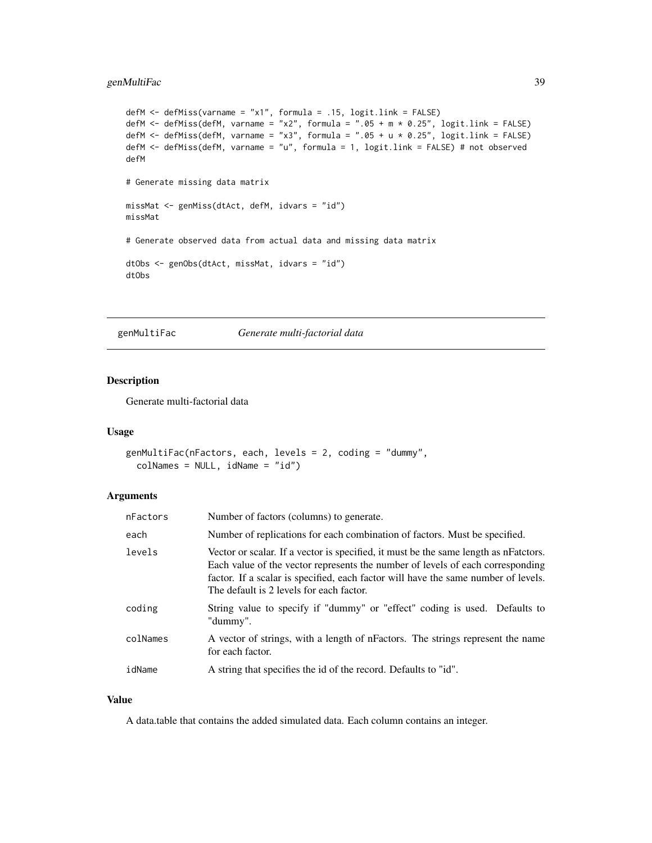## <span id="page-38-0"></span>genMultiFac 39

```
defM <- defMiss(varname = "x1", formula = .15, logit.link = FALSE)
defM \le defMiss(defM, varname = "x2", formula = ".05 + m * 0.25", logit.link = FALSE)
defM <- defMiss(defM, varname = "x3", formula = ".05 + u * 0.25", logit.link = FALSE)
defM <- defMiss(defM, varname = "u", formula = 1, logit.link = FALSE) # not observed
defM
# Generate missing data matrix
missMat <- genMiss(dtAct, defM, idvars = "id")
missMat
# Generate observed data from actual data and missing data matrix
dtObs <- genObs(dtAct, missMat, idvars = "id")
dtObs
```
genMultiFac *Generate multi-factorial data*

# Description

Generate multi-factorial data

#### Usage

```
genMultiFac(nFactors, each, levels = 2, coding = "dummy",
  colNames = NULL, idName = "id")
```
# Arguments

| nFactors | Number of factors (columns) to generate.                                                                                                                                                                                                                                                                 |
|----------|----------------------------------------------------------------------------------------------------------------------------------------------------------------------------------------------------------------------------------------------------------------------------------------------------------|
| each     | Number of replications for each combination of factors. Must be specified.                                                                                                                                                                                                                               |
| levels   | Vector or scalar. If a vector is specified, it must be the same length as nFatctors.<br>Each value of the vector represents the number of levels of each corresponding<br>factor. If a scalar is specified, each factor will have the same number of levels.<br>The default is 2 levels for each factor. |
| coding   | String value to specify if "dummy" or "effect" coding is used. Defaults to<br>"dummy".                                                                                                                                                                                                                   |
| colNames | A vector of strings, with a length of nFactors. The strings represent the name<br>for each factor.                                                                                                                                                                                                       |
| idName   | A string that specifies the id of the record. Defaults to "id".                                                                                                                                                                                                                                          |

#### Value

A data.table that contains the added simulated data. Each column contains an integer.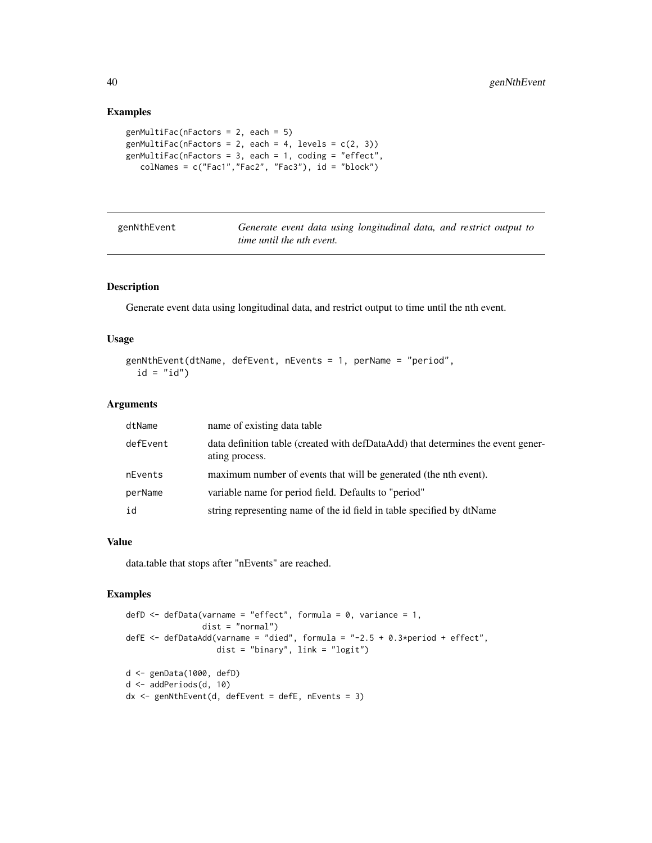## Examples

```
genMultiFac(nFactors = 2, each = 5)
genMultiFac(nFactors = 2, each = 4, levels = c(2, 3))
genMultiFac(nFactors = 3, each = 1, coding = "effect",
  colNames = c("Fac1","Fac2", "Fac3"), id = "block")
```

| genNthEvent | Generate event data using longitudinal data, and restrict output to |
|-------------|---------------------------------------------------------------------|
|             | <i>time until the nth event.</i>                                    |

# Description

Generate event data using longitudinal data, and restrict output to time until the nth event.

# Usage

```
genNthEvent(dtName, defEvent, nEvents = 1, perName = "period",
 id = "id")
```
## Arguments

| dtName   | name of existing data table                                                                        |
|----------|----------------------------------------------------------------------------------------------------|
| defEvent | data definition table (created with defDataAdd) that determines the event gener-<br>ating process. |
| nEvents  | maximum number of events that will be generated (the nth event).                                   |
| perName  | variable name for period field. Defaults to "period"                                               |
| id       | string representing name of the id field in table specified by dtName                              |

## Value

data.table that stops after "nEvents" are reached.

```
defD \leq defData(varname = "effect", formula = 0, variance = 1,
                dist = "normal")
defE <- defDataAdd(varname = "died", formula = "-2.5 + 0.3*period + effect",
                   dist = "binary", link = "logit")
d <- genData(1000, defD)
d <- addPeriods(d, 10)
```
<span id="page-39-0"></span>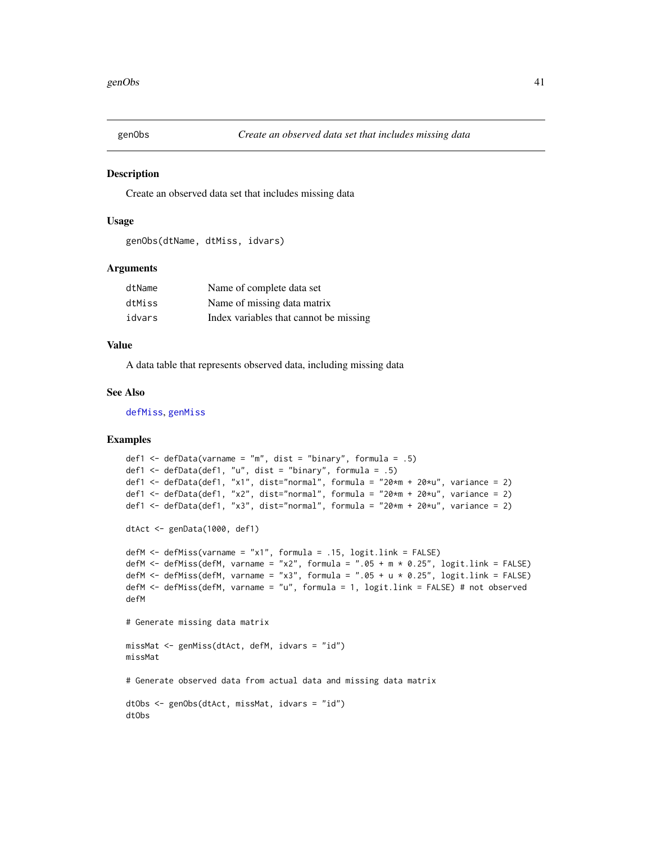<span id="page-40-1"></span><span id="page-40-0"></span>

Create an observed data set that includes missing data

## Usage

```
genObs(dtName, dtMiss, idvars)
```
## Arguments

| dtName | Name of complete data set              |
|--------|----------------------------------------|
| dtMiss | Name of missing data matrix            |
| idvars | Index variables that cannot be missing |

#### Value

A data table that represents observed data, including missing data

## See Also

[defMiss](#page-18-1), [genMiss](#page-37-1)

```
def1 \leq defData(varname = "m", dist = "binary", formula = .5)
def1 <- defData(def1, "u", dist = "binary", formula = .5)
def1 <- defData(def1, "x1", dist="normal", formula = "20*m + 20*u", variance = 2)
def1 <- defData(def1, "x2", dist="normal", formula = "20*m + 20*u", variance = 2)
def1 <- defData(def1, "x3", dist="normal", formula = "20*m + 20*u", variance = 2)
dtAct <- genData(1000, def1)
defM <- defMiss(varname = "x1", formula = .15, logit.link = FALSE)
defM <- defMiss(defM, varname = "x2", formula = ".05 + m * 0.25", logit.link = FALSE)
defM <- defMiss(defM, varname = "x3", formula = ".05 + u * 0.25", logit.link = FALSE)
defM <- defMiss(defM, varname = "u", formula = 1, logit.link = FALSE) # not observed
defM
# Generate missing data matrix
missMat <- genMiss(dtAct, defM, idvars = "id")
missMat
# Generate observed data from actual data and missing data matrix
dtObs <- genObs(dtAct, missMat, idvars = "id")
dtObs
```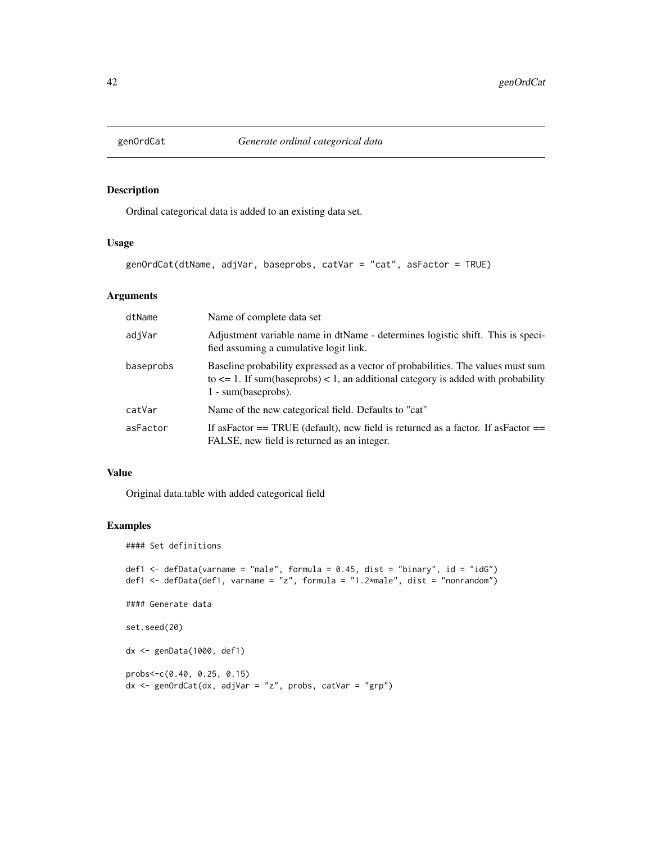<span id="page-41-0"></span>

Ordinal categorical data is added to an existing data set.

# Usage

```
genOrdCat(dtName, adjVar, baseprobs, catVar = "cat", asFactor = TRUE)
```
# Arguments

| dtName    | Name of complete data set                                                                                                                                                                            |
|-----------|------------------------------------------------------------------------------------------------------------------------------------------------------------------------------------------------------|
| adjVar    | Adjustment variable name in dtName - determines logistic shift. This is speci-<br>fied assuming a cumulative logit link.                                                                             |
| baseprobs | Baseline probability expressed as a vector of probabilities. The values must sum<br>to $\leq$ 1. If sum(baseprobs) $\leq$ 1, an additional category is added with probability<br>1 - sum(baseprobs). |
| catVar    | Name of the new categorical field. Defaults to "cat"                                                                                                                                                 |
| asFactor  | If as Factor $==$ TRUE (default), new field is returned as a factor. If as Factor $==$<br>FALSE, new field is returned as an integer.                                                                |

#### Value

Original data.table with added categorical field

```
#### Set definitions
def1 \leq defData(varname = "male", formula = 0.45, dist = "binary", id = "idG")
def1 <- defData(def1, varname = "z", formula = "1.2*male", dist = "nonrandom")
#### Generate data
set.seed(20)
dx <- genData(1000, def1)
probs<-c(0.40, 0.25, 0.15)
dx <- genOrdCat(dx, adjVar = "z", probs, catVar = "grp")
```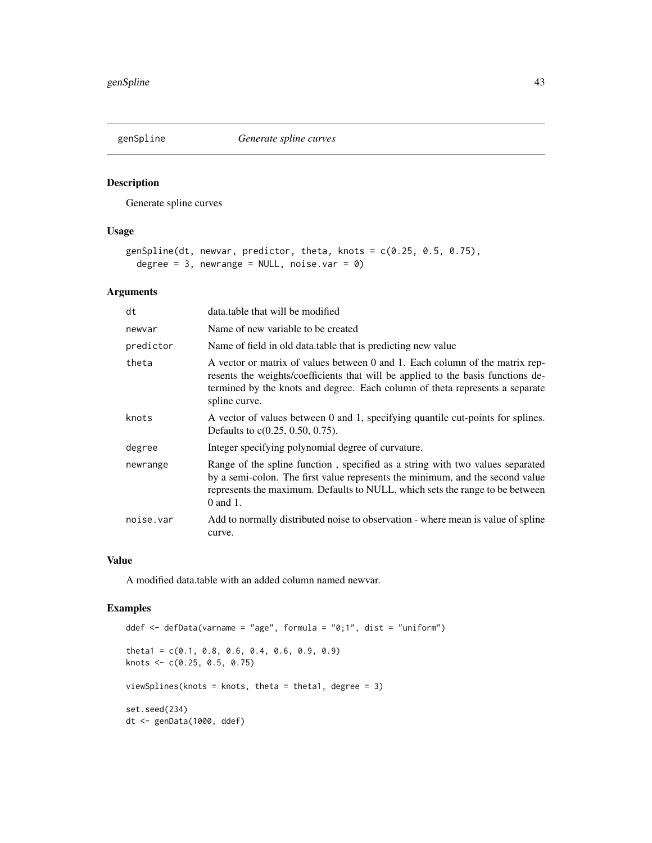<span id="page-42-0"></span>

Generate spline curves

# Usage

```
genSpline(dt, newvar, predictor, theta, knots = c(0.25, 0.5, 0.75),
 degree = 3, newrange = NULL, noise.var = 0)
```
# Arguments

| dt        | data.table that will be modified                                                                                                                                                                                                                                  |
|-----------|-------------------------------------------------------------------------------------------------------------------------------------------------------------------------------------------------------------------------------------------------------------------|
| newvar    | Name of new variable to be created                                                                                                                                                                                                                                |
| predictor | Name of field in old data.table that is predicting new value                                                                                                                                                                                                      |
| theta     | A vector or matrix of values between 0 and 1. Each column of the matrix rep-<br>resents the weights/coefficients that will be applied to the basis functions de-<br>termined by the knots and degree. Each column of theta represents a separate<br>spline curve. |
| knots     | A vector of values between 0 and 1, specifying quantile cut-points for splines.<br>Defaults to $c(0.25, 0.50, 0.75)$ .                                                                                                                                            |
| degree    | Integer specifying polynomial degree of curvature.                                                                                                                                                                                                                |
| newrange  | Range of the spline function, specified as a string with two values separated<br>by a semi-colon. The first value represents the minimum, and the second value<br>represents the maximum. Defaults to NULL, which sets the range to be between<br>$0$ and $1$ .   |
| noise.var | Add to normally distributed noise to observation - where mean is value of spline<br>curve.                                                                                                                                                                        |

## Value

A modified data.table with an added column named newvar.

```
ddef <- defData(varname = "age", formula = "0;1", dist = "uniform")
theta1 = c(0.1, 0.8, 0.6, 0.4, 0.6, 0.9, 0.9)knots <- c(0.25, 0.5, 0.75)
viewSplines(knots = knots, theta = theta1, degree = 3)
set.seed(234)
dt <- genData(1000, ddef)
```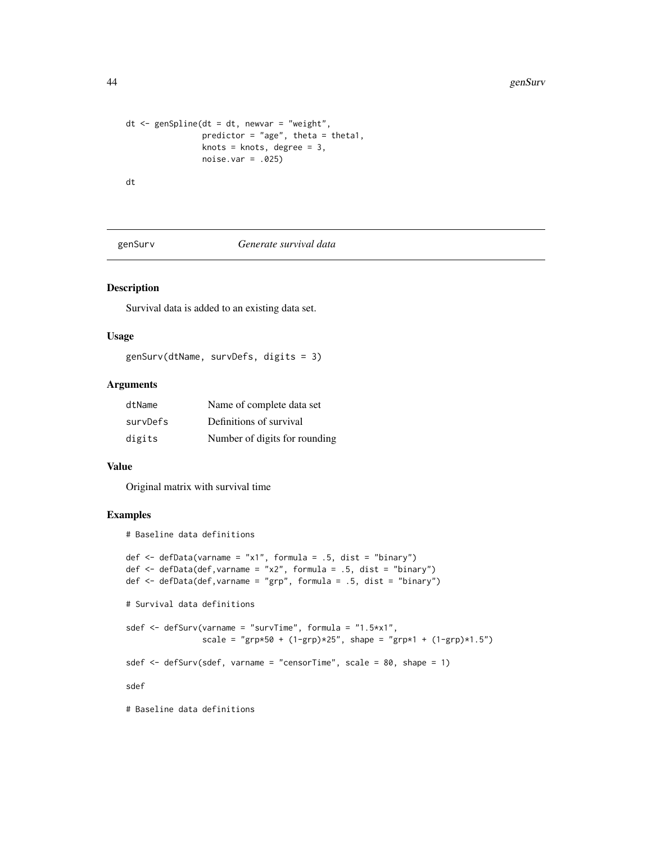```
dt <- genSpline(dt = dt, newvar = "weight",
                predictor = "age", theta = theta1,
                knots = knots, degree = 3,
                noise.var = .025)
dt
```
#### genSurv *Generate survival data*

# Description

Survival data is added to an existing data set.

## Usage

genSurv(dtName, survDefs, digits = 3)

## Arguments

| dtName   | Name of complete data set     |
|----------|-------------------------------|
| survDefs | Definitions of survival       |
| digits   | Number of digits for rounding |

#### Value

Original matrix with survival time

# Examples

# Baseline data definitions

```
def \leq defData(varname = "x1", formula = .5, dist = "binary")
def \leq defData(def, varname = "x2", formula = .5, dist = "binary")
def \leq defData(def, varname = "grp", formula = .5, dist = "binary")
# Survival data definitions
sdef <- defSurv(varname = "survTime", formula = "1.5*x1",
                scale = "grp*50 + (1-\text{grp})*25", shape = "grp*1 + (1-\text{grp})*1.5")
sdef <- defSurv(sdef, varname = "censorTime", scale = 80, shape = 1)
sdef
# Baseline data definitions
```
<span id="page-43-0"></span>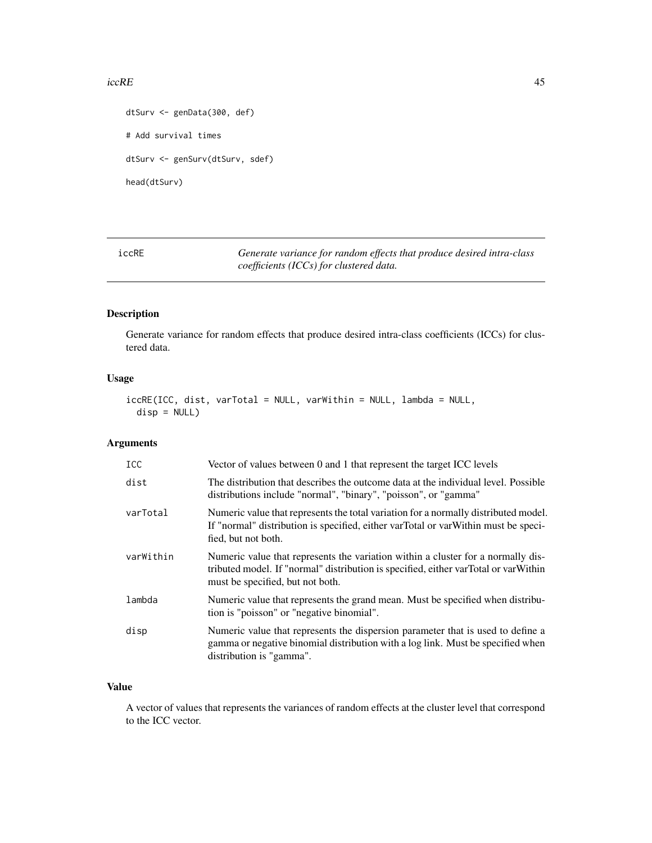#### <span id="page-44-0"></span> $i$ ccRE $\qquad$  45

```
dtSurv <- genData(300, def)
# Add survival times
dtSurv <- genSurv(dtSurv, sdef)
head(dtSurv)
```
iccRE *Generate variance for random effects that produce desired intra-class coefficients (ICCs) for clustered data.*

# Description

Generate variance for random effects that produce desired intra-class coefficients (ICCs) for clustered data.

## Usage

```
iccRE(ICC, dist, varTotal = NULL, varWithin = NULL, lambda = NULL,
 disp = NULL)
```
#### Arguments

| ICC.      | Vector of values between 0 and 1 that represent the target ICC levels                                                                                                                                       |
|-----------|-------------------------------------------------------------------------------------------------------------------------------------------------------------------------------------------------------------|
| dist      | The distribution that describes the outcome data at the individual level. Possible<br>distributions include "normal", "binary", "poisson", or "gamma"                                                       |
| varTotal  | Numeric value that represents the total variation for a normally distributed model.<br>If "normal" distribution is specified, either varTotal or varWithin must be speci-<br>fied, but not both.            |
| varWithin | Numeric value that represents the variation within a cluster for a normally dis-<br>tributed model. If "normal" distribution is specified, either varTotal or varWithin<br>must be specified, but not both. |
| lambda    | Numeric value that represents the grand mean. Must be specified when distribu-<br>tion is "poisson" or "negative binomial".                                                                                 |
| disp      | Numeric value that represents the dispersion parameter that is used to define a<br>gamma or negative binomial distribution with a log link. Must be specified when<br>distribution is "gamma".              |

# Value

A vector of values that represents the variances of random effects at the cluster level that correspond to the ICC vector.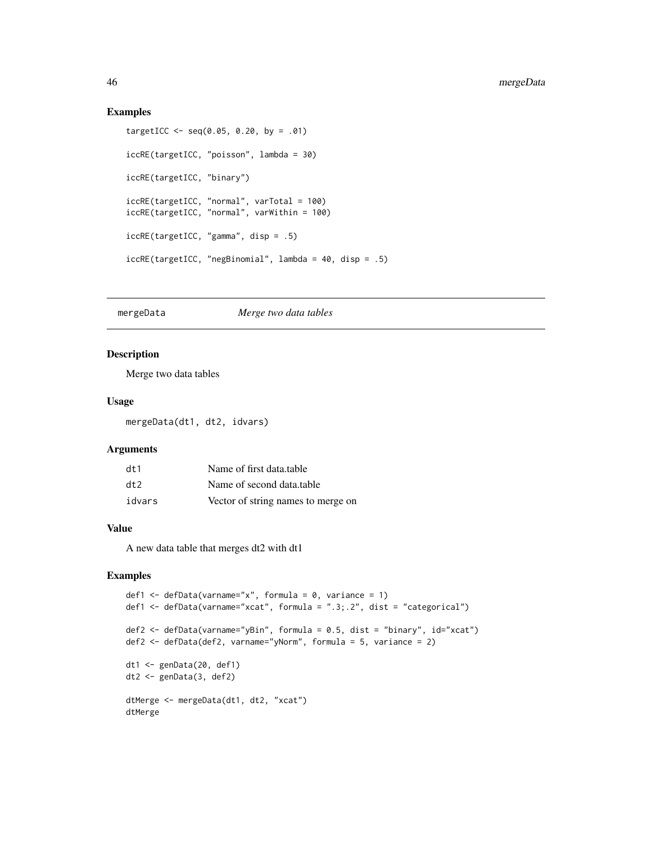#### Examples

```
targetICC < - seq(0.05, 0.20, by = .01)iccRE(targetICC, "poisson", lambda = 30)
iccRE(targetICC, "binary")
iccRE(targetICC, "normal", varTotal = 100)
iccRE(targetICC, "normal", varWithin = 100)
iccRE(targetICC, "gamma", disp = .5)
iccRE(targetICC, "negBinomial", lambda = 40, disp = .5)
```
# mergeData *Merge two data tables*

#### Description

Merge two data tables

## Usage

mergeData(dt1, dt2, idvars)

## Arguments

| dt1    | Name of first data.table           |
|--------|------------------------------------|
| dt     | Name of second data.table          |
| idvars | Vector of string names to merge on |

# Value

A new data table that merges dt2 with dt1

```
def1 \leq defData(varname="x", formula = 0, variance = 1)
def1 <- defData(varname="xcat", formula = ".3;.2", dist = "categorical")
def2 <- defData(varname="yBin", formula = 0.5, dist = "binary", id="xcat")
def2 <- defData(def2, varname="yNorm", formula = 5, variance = 2)
dt1 <- genData(20, def1)
dt2 <- genData(3, def2)
dtMerge <- mergeData(dt1, dt2, "xcat")
dtMerge
```
<span id="page-45-0"></span>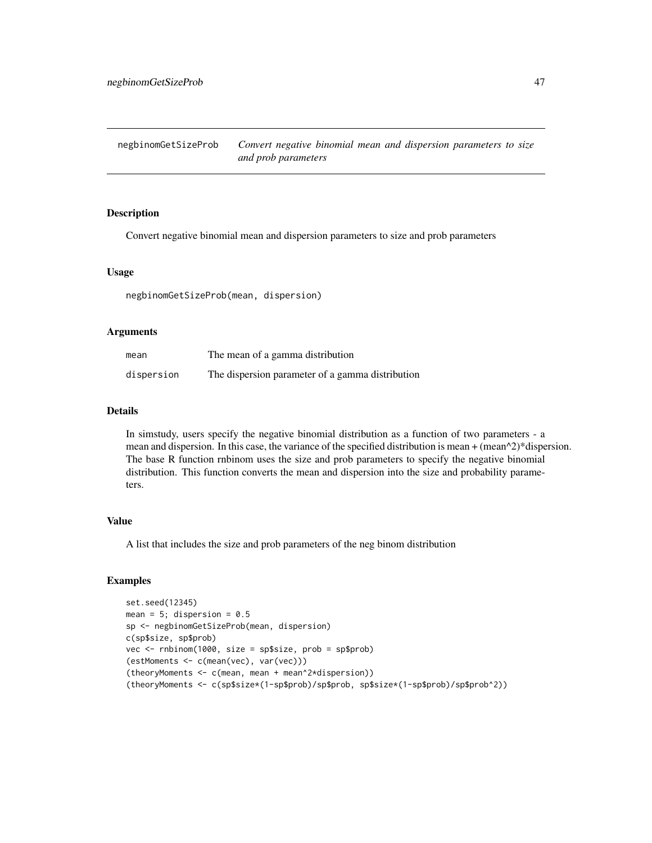<span id="page-46-0"></span>Convert negative binomial mean and dispersion parameters to size and prob parameters

#### Usage

negbinomGetSizeProb(mean, dispersion)

#### Arguments

| mean       | The mean of a gamma distribution                 |
|------------|--------------------------------------------------|
| dispersion | The dispersion parameter of a gamma distribution |

# Details

In simstudy, users specify the negative binomial distribution as a function of two parameters - a mean and dispersion. In this case, the variance of the specified distribution is mean  $+$  (mean^2)\*dispersion. The base R function rnbinom uses the size and prob parameters to specify the negative binomial distribution. This function converts the mean and dispersion into the size and probability parameters.

# Value

A list that includes the size and prob parameters of the neg binom distribution

```
set.seed(12345)
mean = 5; dispersion = 0.5sp <- negbinomGetSizeProb(mean, dispersion)
c(sp$size, sp$prob)
vec <- rnbinom(1000, size = sp$size, prob = sp$prob)
(estMoments <- c(mean(vec), var(vec)))
(theoryMoments <- c(mean, mean + mean^2*dispersion))
(theoryMoments <- c(sp$size*(1-sp$prob)/sp$prob, sp$size*(1-sp$prob)/sp$prob^2))
```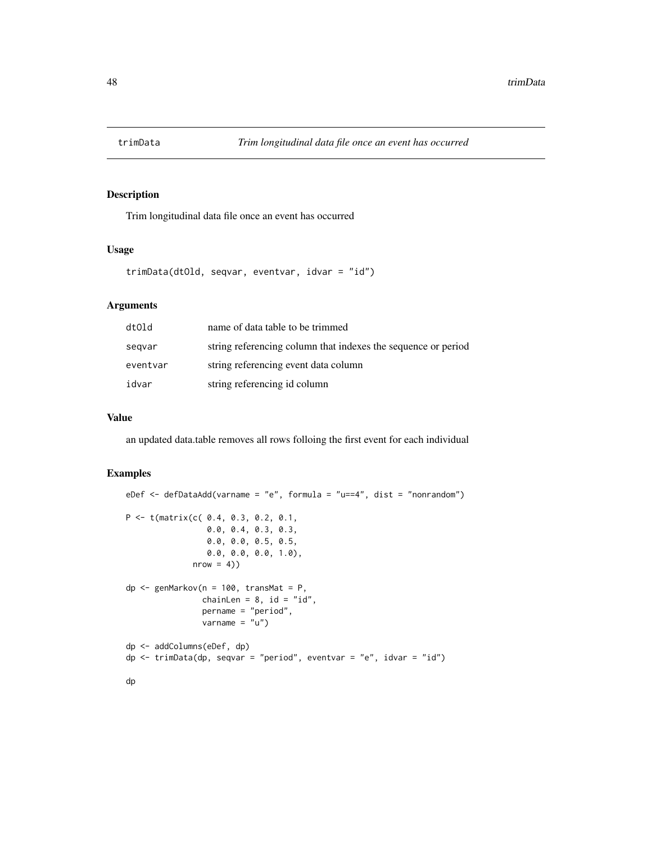<span id="page-47-0"></span>

Trim longitudinal data file once an event has occurred

#### Usage

```
trimData(dtOld, seqvar, eventvar, idvar = "id")
```
# Arguments

| dtOld    | name of data table to be trimmed                              |
|----------|---------------------------------------------------------------|
| segvar   | string referencing column that indexes the sequence or period |
| eventvar | string referencing event data column                          |
| idvar    | string referencing id column                                  |

#### Value

an updated data.table removes all rows folloing the first event for each individual

```
eDef <- defDataAdd(varname = "e", formula = "u==4", dist = "nonrandom")
P <- t(matrix(c( 0.4, 0.3, 0.2, 0.1,
                 0.0, 0.4, 0.3, 0.3,
                 0.0, 0.0, 0.5, 0.5,
                 0.0, 0.0, 0.0, 1.0),
              nrow = 4)dp \leq genMarkov(n = 100, transMat = P,
                chainLen = 8, id = "id",
                pername = "period",
                varname = "u")
dp <- addColumns(eDef, dp)
dp \le trimData(dp, seqvar = "period", eventvar = "e", idvar = "id")
dp
```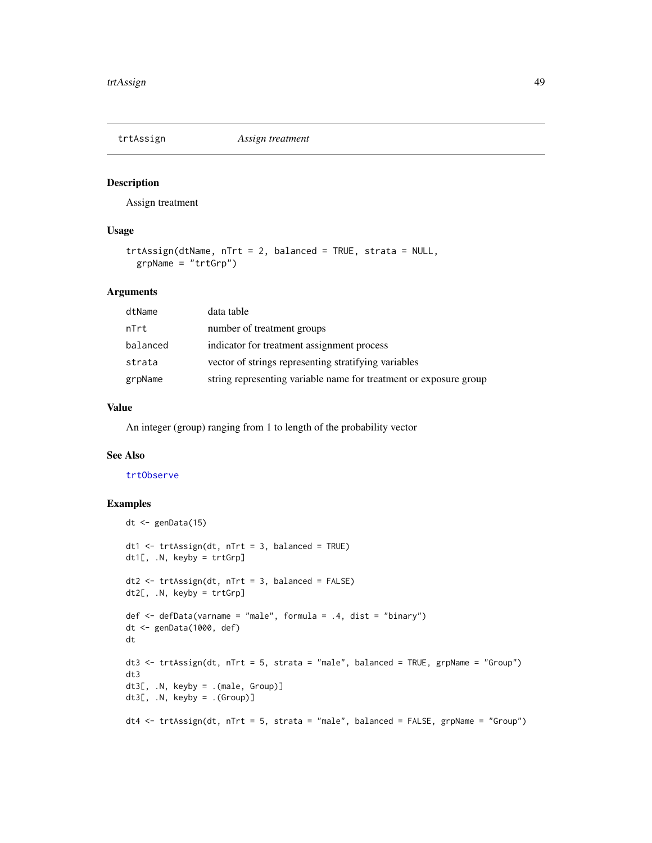<span id="page-48-1"></span><span id="page-48-0"></span>

Assign treatment

## Usage

```
trtAssign(dtName, nTrt = 2, balanced = TRUE, strata = NULL,
 grpName = "trtGrp")
```
# Arguments

| dtName   | data table                                                        |
|----------|-------------------------------------------------------------------|
| nTrt     | number of treatment groups                                        |
| balanced | indicator for treatment assignment process                        |
| strata   | vector of strings representing stratifying variables              |
| grpName  | string representing variable name for treatment or exposure group |

## Value

An integer (group) ranging from 1 to length of the probability vector

## See Also

## [trtObserve](#page-49-1)

```
dt <- genData(15)
dt1 <- trtAssign(dt, nTrt = 3, balanced = TRUE)
dt1[, .N, keyby = trtGrp]
dt2 <- trtAssign(dt, nTrt = 3, balanced = FALSE)
dt2[, .N, keyby = trtGrp]
def <- defData(varname = "male", formula = .4, dist = "binary")
dt <- genData(1000, def)
dt
dt3 <- trtAssign(dt, nTrt = 5, strata = "male", balanced = TRUE, grpName = "Group")
dt3
dt3[, .N, keyby = .(male, Group)]
dt3[, .N, keyby = .(Group)]
dt4 <- trtAssign(dt, nTrt = 5, strata = "male", balanced = FALSE, grpName = "Group")
```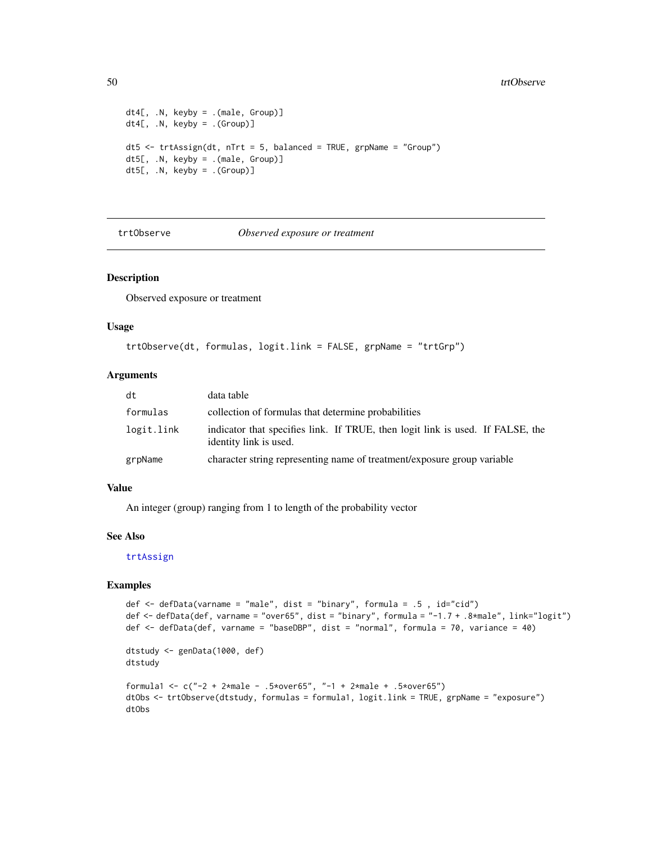#### <span id="page-49-0"></span>50 trtObserve

```
dt4[, .N, keyby = .(male, Group)]
dt4[, .N, keyby = .(Group)]
dt5 <- trtAssign(dt, nTrt = 5, balanced = TRUE, grpName = "Group")
dt5[, .N, keyby = .(male, Group)]
dt5[, .N, keyby = .(Group)]
```
<span id="page-49-1"></span>trtObserve *Observed exposure or treatment*

#### Description

Observed exposure or treatment

# Usage

```
trtObserve(dt, formulas, logit.link = FALSE, grpName = "trtGrp")
```
# Arguments

| dt         | data table                                                                                               |
|------------|----------------------------------------------------------------------------------------------------------|
| formulas   | collection of formulas that determine probabilities                                                      |
| logit.link | indicator that specifies link. If TRUE, then logit link is used. If FALSE, the<br>identity link is used. |
| grpName    | character string representing name of treatment/exposure group variable                                  |

## Value

An integer (group) ranging from 1 to length of the probability vector

#### See Also

[trtAssign](#page-48-1)

```
def <- defData(varname = "male", dist = "binary", formula = .5 , id="cid")
def <- defData(def, varname = "over65", dist = "binary", formula = "-1.7 + .8*male", link="logit")
def <- defData(def, varname = "baseDBP", dist = "normal", formula = 70, variance = 40)
dtstudy <- genData(1000, def)
dtstudy
formula1 <- c("-2 + 2*male - .5*over65", "-1 + 2*male + .5*over65")
dtObs <- trtObserve(dtstudy, formulas = formula1, logit.link = TRUE, grpName = "exposure")
dtObs
```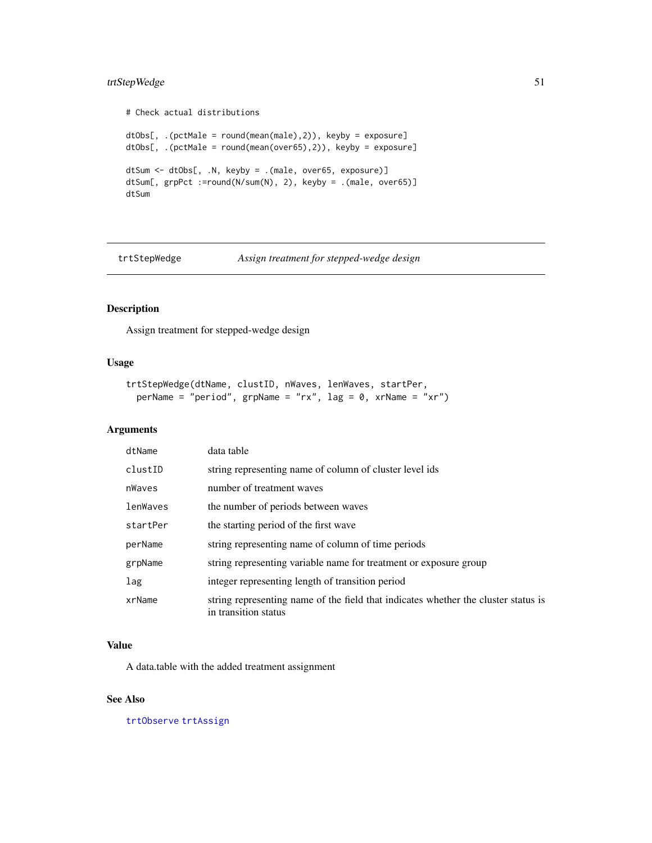# <span id="page-50-0"></span>trtStepWedge 51

```
# Check actual distributions
dtObs[, .(pctMale = round(mean(male),2)), keyby = exposure]
dtObs[, .(pctMale = round(mean(over65),2)), keyby = exposure]
dtSum <- dtObs[, .N, keyby = .(male, over65, exposure)]
dtSum[, grpPct :=round(N/sum(N), 2), keyby = .(male, over65)]
dtSum
```
trtStepWedge *Assign treatment for stepped-wedge design*

# Description

Assign treatment for stepped-wedge design

# Usage

```
trtStepWedge(dtName, clustID, nWaves, lenWaves, startPer,
 perName = "period", grpName = "rx", lag = 0, xrName = "xr")
```
## Arguments

| dtName   | data table                                                                                                 |
|----------|------------------------------------------------------------------------------------------------------------|
| clustID  | string representing name of column of cluster level ids                                                    |
| nWaves   | number of treatment waves                                                                                  |
| lenWaves | the number of periods between waves                                                                        |
| startPer | the starting period of the first wave                                                                      |
| perName  | string representing name of column of time periods                                                         |
| grpName  | string representing variable name for treatment or exposure group                                          |
| lag      | integer representing length of transition period                                                           |
| xrName   | string representing name of the field that indicates whether the cluster status is<br>in transition status |

## Value

A data.table with the added treatment assignment

# See Also

[trtObserve](#page-49-1) [trtAssign](#page-48-1)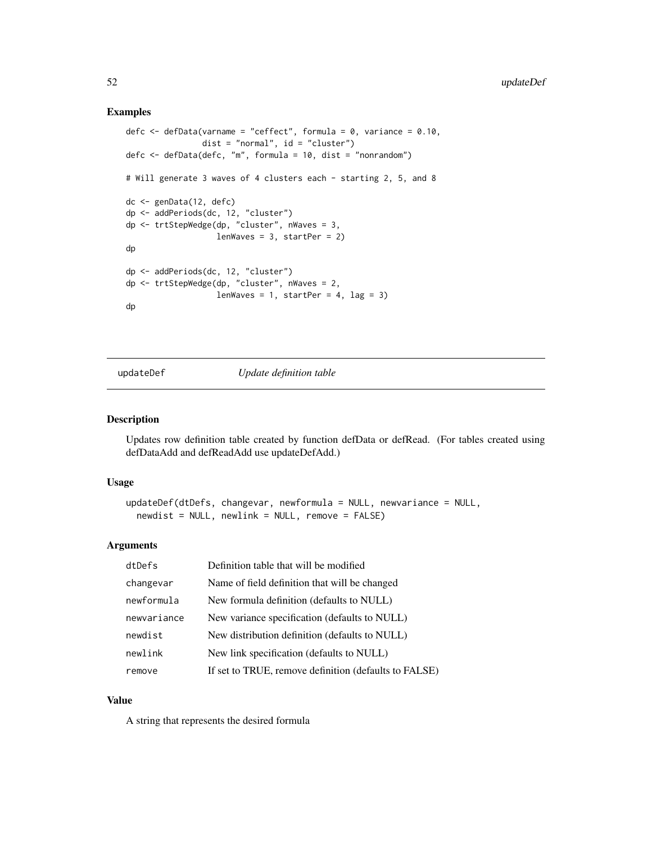## Examples

```
defc \leq defData(varname = "ceffect", formula = 0, variance = 0.10,
                dist = "normal", id = "cluster")defc <- defData(defc, "m", formula = 10, dist = "nonrandom")
# Will generate 3 waves of 4 clusters each - starting 2, 5, and 8
dc <- genData(12, defc)
dp <- addPeriods(dc, 12, "cluster")
dp <- trtStepWedge(dp, "cluster", nWaves = 3,
                    lenWaves = 3, startPer = 2)
dp
dp <- addPeriods(dc, 12, "cluster")
dp <- trtStepWedge(dp, "cluster", nWaves = 2,
                   lenWaves = 1, startPer = 4, \text{lag} = 3)
dp
```
updateDef *Update definition table*

#### Description

Updates row definition table created by function defData or defRead. (For tables created using defDataAdd and defReadAdd use updateDefAdd.)

## Usage

```
updateDef(dtDefs, changevar, newformula = NULL, newvariance = NULL,
  newdist = NULL, newlink = NULL, remove = FALSE)
```
## Arguments

| dtDefs      | Definition table that will be modified                |
|-------------|-------------------------------------------------------|
| changevar   | Name of field definition that will be changed         |
| newformula  | New formula definition (defaults to NULL)             |
| newvariance | New variance specification (defaults to NULL)         |
| newdist     | New distribution definition (defaults to NULL)        |
| newlink     | New link specification (defaults to NULL)             |
| remove      | If set to TRUE, remove definition (defaults to FALSE) |

#### Value

A string that represents the desired formula

<span id="page-51-0"></span>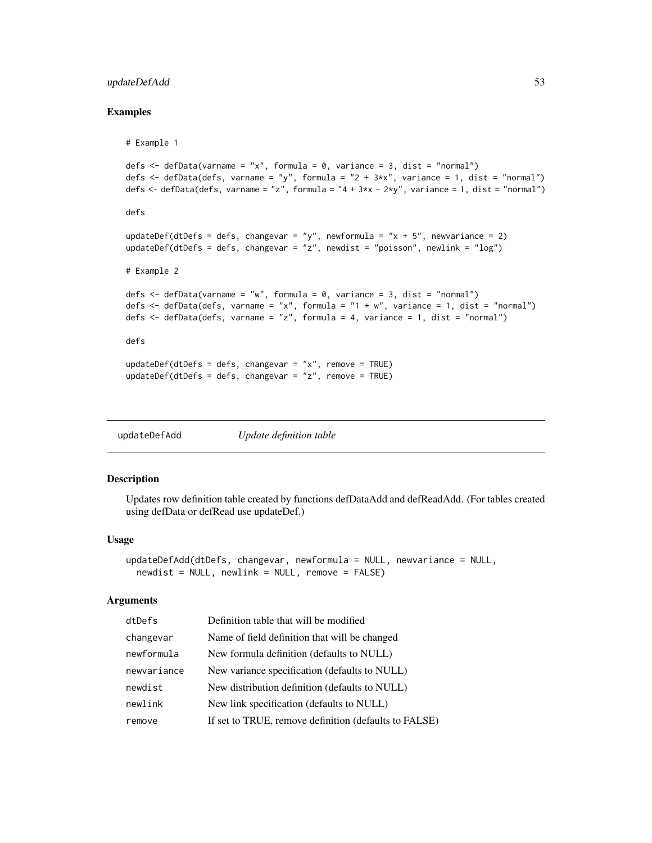# <span id="page-52-0"></span>updateDefAdd 53

#### Examples

```
# Example 1
defs \leq defData(varname = "x", formula = 0, variance = 3, dist = "normal")
defs \le - defData(defs, varname = "y", formula = "2 + 3*x", variance = 1, dist = "normal")
defs \leq defData(defs, varname = "z", formula = "4 + 3*x - 2*y", variance = 1, dist = "normal")
defs
updateDef(dtDefs = defs, changevar = "y", newformula = "x + 5", newvariance = 2)
updateDef(dtDefs = defs, changevar = "z", newdist = "poisson", newlink = "log")
# Example 2
defs \leq defData(varname = "w", formula = 0, variance = 3, dist = "normal")
defs \leq defData(defs, varname = "x", formula = "1 + w", variance = 1, dist = "normal")
defs \le defData(defs, varname = "z", formula = 4, variance = 1, dist = "normal")
defs
updateDef(dtDefs = defs, changevar = "x", remove = TRUE)
updateDef(dtDefs = defs, changevar = "z", remove = TRUE)
```
updateDefAdd *Update definition table*

# Description

Updates row definition table created by functions defDataAdd and defReadAdd. (For tables created using defData or defRead use updateDef.)

#### Usage

```
updateDefAdd(dtDefs, changevar, newformula = NULL, newvariance = NULL,
  newdist = NULL, newlink = NULL, remove = FALSE)
```
#### Arguments

| dtDefs      | Definition table that will be modified                |
|-------------|-------------------------------------------------------|
| changevar   | Name of field definition that will be changed         |
| newformula  | New formula definition (defaults to NULL)             |
| newvariance | New variance specification (defaults to NULL)         |
| newdist     | New distribution definition (defaults to NULL)        |
| newlink     | New link specification (defaults to NULL)             |
| remove      | If set to TRUE, remove definition (defaults to FALSE) |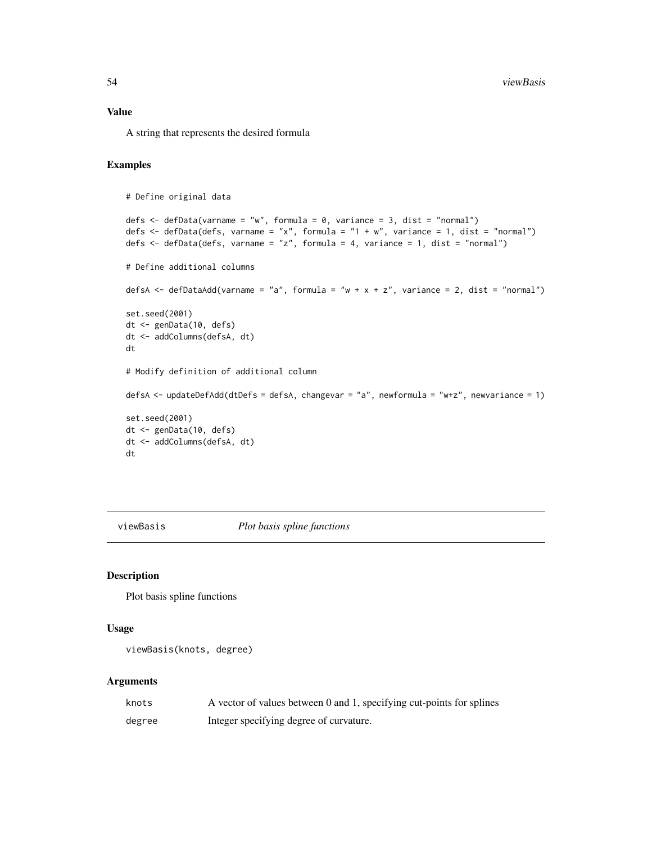<span id="page-53-0"></span>A string that represents the desired formula

#### Examples

```
# Define original data
defs <- defData(varname = "w", formula = 0, variance = 3, dist = "normal")
defs \le defData(defs, varname = "x", formula = "1 + w", variance = 1, dist = "normal")
defs \leq defData(defs, varname = "z", formula = 4, variance = 1, dist = "normal")
# Define additional columns
defsA \leq defDataAdd(varname = "a", formula = "w + x + z", variance = 2, dist = "normal")
set.seed(2001)
dt <- genData(10, defs)
dt <- addColumns(defsA, dt)
dt
# Modify definition of additional column
defsA <- updateDefAdd(dtDefs = defsA, changevar = "a", newformula = "w+z", newvariance = 1)
set.seed(2001)
dt <- genData(10, defs)
dt <- addColumns(defsA, dt)
dt
```
viewBasis *Plot basis spline functions*

# Description

Plot basis spline functions

#### Usage

```
viewBasis(knots, degree)
```
#### Arguments

| knots  | A vector of values between 0 and 1, specifying cut-points for splines |
|--------|-----------------------------------------------------------------------|
| degree | Integer specifying degree of curvature.                               |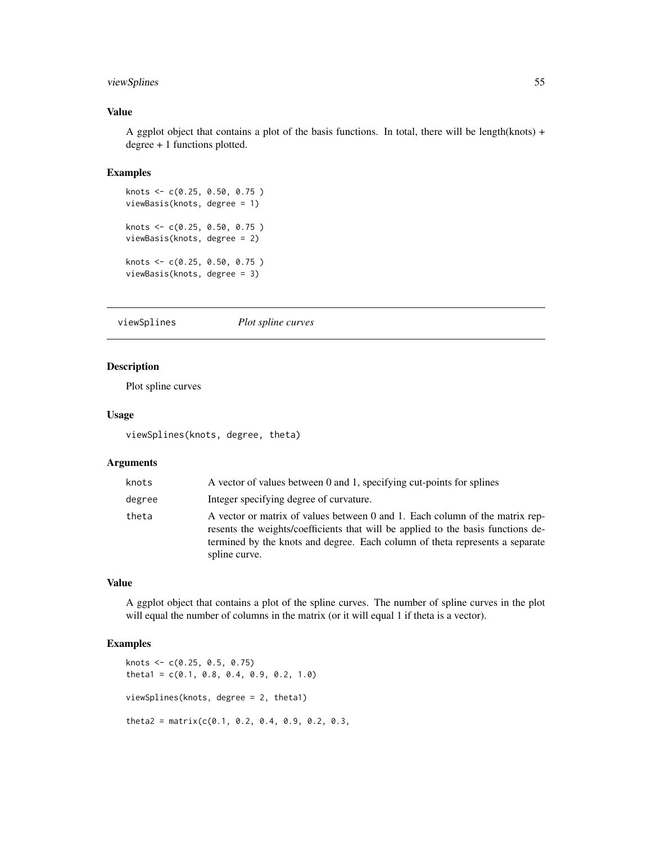# <span id="page-54-0"></span>viewSplines 55

## Value

A ggplot object that contains a plot of the basis functions. In total, there will be length(knots) + degree + 1 functions plotted.

#### Examples

```
knots <- c(0.25, 0.50, 0.75 )
viewBasis(knots, degree = 1)
knots <- c(0.25, 0.50, 0.75 )
viewBasis(knots, degree = 2)
knots <- c(0.25, 0.50, 0.75 )
viewBasis(knots, degree = 3)
```
viewSplines *Plot spline curves*

# Description

Plot spline curves

## Usage

viewSplines(knots, degree, theta)

## Arguments

| knots  | A vector of values between 0 and 1, specifying cut-points for splines                                                                                                                                                                                             |
|--------|-------------------------------------------------------------------------------------------------------------------------------------------------------------------------------------------------------------------------------------------------------------------|
| degree | Integer specifying degree of curvature.                                                                                                                                                                                                                           |
| theta  | A vector or matrix of values between 0 and 1. Each column of the matrix rep-<br>resents the weights/coefficients that will be applied to the basis functions de-<br>termined by the knots and degree. Each column of theta represents a separate<br>spline curve. |

## Value

A ggplot object that contains a plot of the spline curves. The number of spline curves in the plot will equal the number of columns in the matrix (or it will equal 1 if theta is a vector).

```
knots <- c(0.25, 0.5, 0.75)
theta1 = c(0.1, 0.8, 0.4, 0.9, 0.2, 1.0)
viewSplines(knots, degree = 2, theta1)
theta2 = matrix(c(0.1, 0.2, 0.4, 0.9, 0.2, 0.3,
```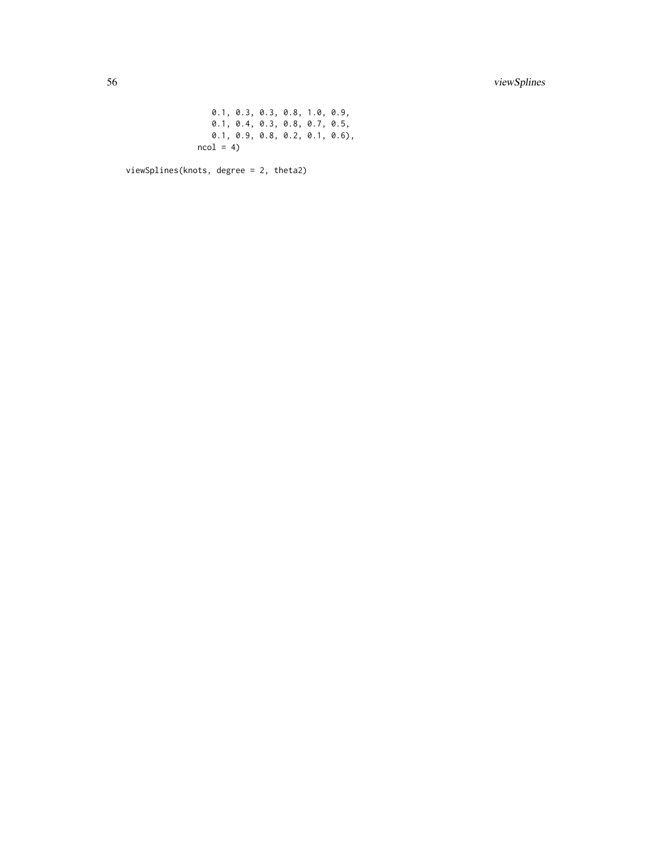0.1, 0.3, 0.3, 0.8, 1.0, 0.9, 0.1, 0.4, 0.3, 0.8, 0.7, 0.5, 0.1, 0.9, 0.8, 0.2, 0.1, 0.6),  $ncol = 4$ 

viewSplines(knots, degree = 2, theta2)